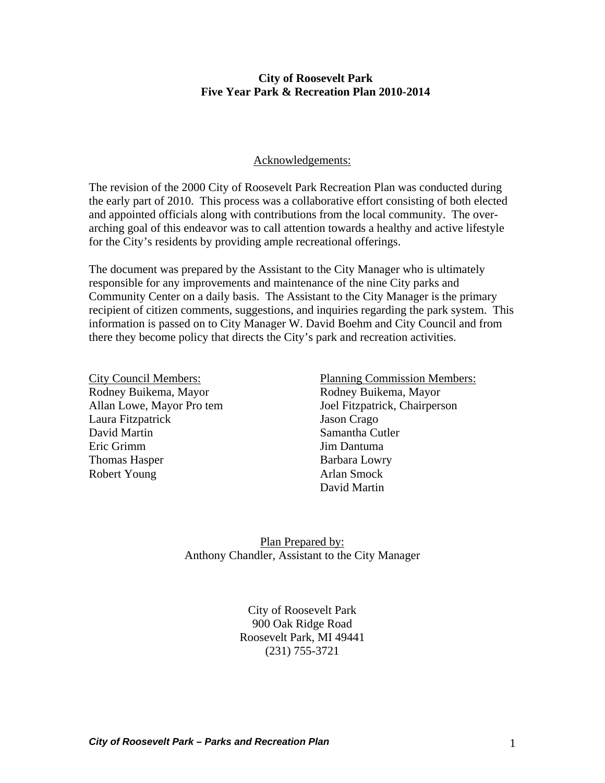#### **City of Roosevelt Park Five Year Park & Recreation Plan 2010-2014**

#### Acknowledgements:

The revision of the 2000 City of Roosevelt Park Recreation Plan was conducted during the early part of 2010. This process was a collaborative effort consisting of both elected and appointed officials along with contributions from the local community. The overarching goal of this endeavor was to call attention towards a healthy and active lifestyle for the City's residents by providing ample recreational offerings.

The document was prepared by the Assistant to the City Manager who is ultimately responsible for any improvements and maintenance of the nine City parks and Community Center on a daily basis. The Assistant to the City Manager is the primary recipient of citizen comments, suggestions, and inquiries regarding the park system. This information is passed on to City Manager W. David Boehm and City Council and from there they become policy that directs the City's park and recreation activities.

City Council Members: Rodney Buikema, Mayor Allan Lowe, Mayor Pro tem Laura Fitzpatrick David Martin Eric Grimm Thomas Hasper Robert Young

Planning Commission Members: Rodney Buikema, Mayor Joel Fitzpatrick, Chairperson Jason Crago Samantha Cutler Jim Dantuma Barbara Lowry Arlan Smock David Martin

Plan Prepared by: Anthony Chandler, Assistant to the City Manager

> City of Roosevelt Park 900 Oak Ridge Road Roosevelt Park, MI 49441 (231) 755-3721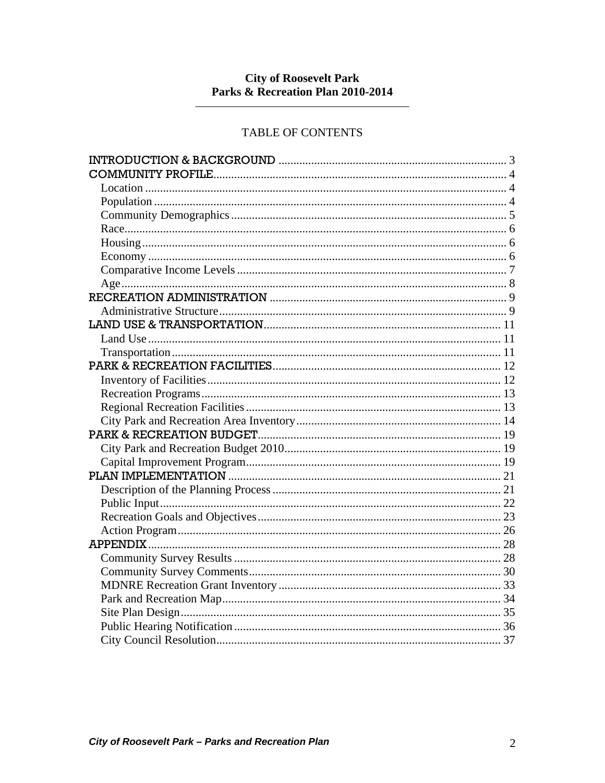# **City of Roosevelt Park<br>Parks & Recreation Plan 2010-2014**

## **TABLE OF CONTENTS**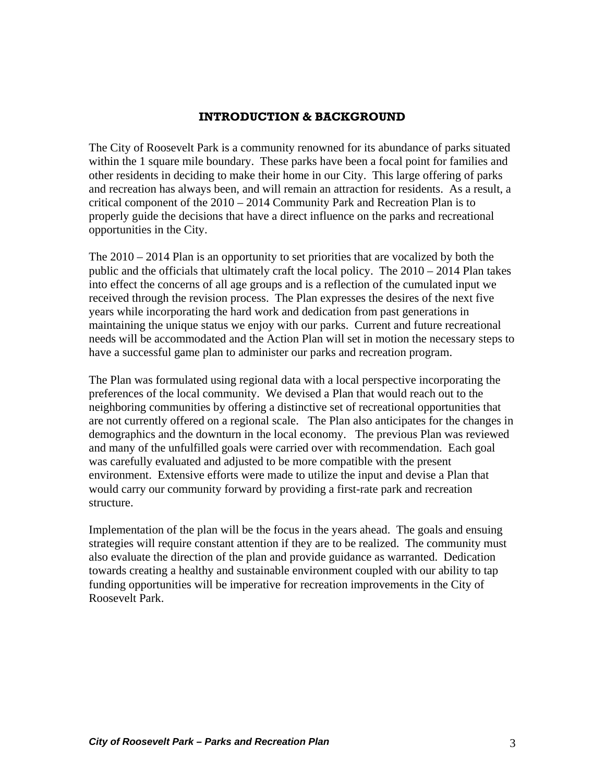## **INTRODUCTION & BACKGROUND**

<span id="page-2-0"></span>The City of Roosevelt Park is a community renowned for its abundance of parks situated within the 1 square mile boundary. These parks have been a focal point for families and other residents in deciding to make their home in our City. This large offering of parks and recreation has always been, and will remain an attraction for residents. As a result, a critical component of the 2010 – 2014 Community Park and Recreation Plan is to properly guide the decisions that have a direct influence on the parks and recreational opportunities in the City.

The  $2010 - 2014$  Plan is an opportunity to set priorities that are vocalized by both the public and the officials that ultimately craft the local policy. The 2010 – 2014 Plan takes into effect the concerns of all age groups and is a reflection of the cumulated input we received through the revision process. The Plan expresses the desires of the next five years while incorporating the hard work and dedication from past generations in maintaining the unique status we enjoy with our parks. Current and future recreational needs will be accommodated and the Action Plan will set in motion the necessary steps to have a successful game plan to administer our parks and recreation program.

The Plan was formulated using regional data with a local perspective incorporating the preferences of the local community. We devised a Plan that would reach out to the neighboring communities by offering a distinctive set of recreational opportunities that are not currently offered on a regional scale. The Plan also anticipates for the changes in demographics and the downturn in the local economy. The previous Plan was reviewed and many of the unfulfilled goals were carried over with recommendation. Each goal was carefully evaluated and adjusted to be more compatible with the present environment. Extensive efforts were made to utilize the input and devise a Plan that would carry our community forward by providing a first-rate park and recreation structure.

Implementation of the plan will be the focus in the years ahead. The goals and ensuing strategies will require constant attention if they are to be realized. The community must also evaluate the direction of the plan and provide guidance as warranted. Dedication towards creating a healthy and sustainable environment coupled with our ability to tap funding opportunities will be imperative for recreation improvements in the City of Roosevelt Park.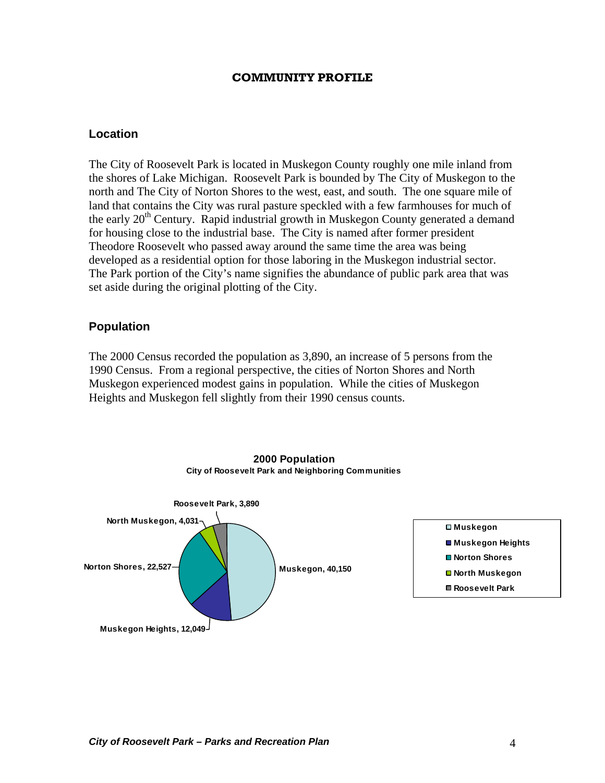#### **COMMUNITY PROFILE**

#### <span id="page-3-0"></span>**Location**

The City of Roosevelt Park is located in Muskegon County roughly one mile inland from the shores of Lake Michigan. Roosevelt Park is bounded by The City of Muskegon to the north and The City of Norton Shores to the west, east, and south. The one square mile of land that contains the City was rural pasture speckled with a few farmhouses for much of the early  $20<sup>th</sup>$  Century. Rapid industrial growth in Muskegon County generated a demand for housing close to the industrial base. The City is named after former president Theodore Roosevelt who passed away around the same time the area was being developed as a residential option for those laboring in the Muskegon industrial sector. The Park portion of the City's name signifies the abundance of public park area that was set aside during the original plotting of the City.

## **Population**

The 2000 Census recorded the population as 3,890, an increase of 5 persons from the 1990 Census. From a regional perspective, the cities of Norton Shores and North Muskegon experienced modest gains in population. While the cities of Muskegon Heights and Muskegon fell slightly from their 1990 census counts.



#### **2000 Population City of Roosevelt Park and Neighboring Communities**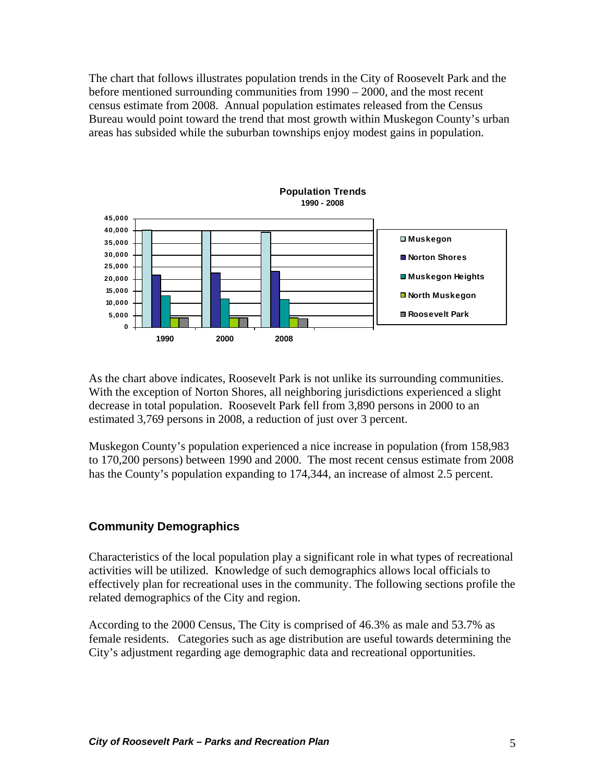<span id="page-4-0"></span>The chart that follows illustrates population trends in the City of Roosevelt Park and the before mentioned surrounding communities from 1990 – 2000, and the most recent census estimate from 2008. Annual population estimates released from the Census Bureau would point toward the trend that most growth within Muskegon County's urban areas has subsided while the suburban townships enjoy modest gains in population.



As the chart above indicates, Roosevelt Park is not unlike its surrounding communities. With the exception of Norton Shores, all neighboring jurisdictions experienced a slight decrease in total population. Roosevelt Park fell from 3,890 persons in 2000 to an estimated 3,769 persons in 2008, a reduction of just over 3 percent.

Muskegon County's population experienced a nice increase in population (from 158,983 to 170,200 persons) between 1990 and 2000. The most recent census estimate from 2008 has the County's population expanding to 174,344, an increase of almost 2.5 percent.

## **Community Demographics**

Characteristics of the local population play a significant role in what types of recreational activities will be utilized. Knowledge of such demographics allows local officials to effectively plan for recreational uses in the community. The following sections profile the related demographics of the City and region.

According to the 2000 Census, The City is comprised of 46.3% as male and 53.7% as female residents. Categories such as age distribution are useful towards determining the City's adjustment regarding age demographic data and recreational opportunities.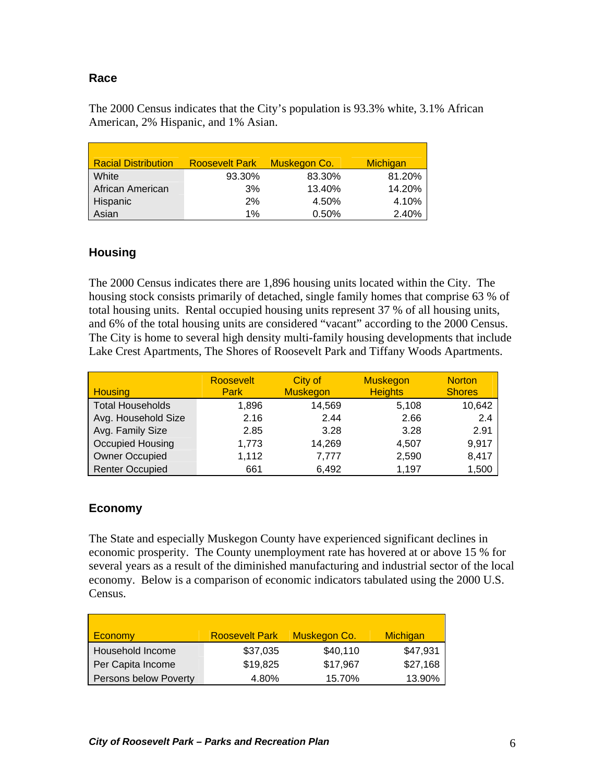## <span id="page-5-0"></span>**Race**

The 2000 Census indicates that the City's population is 93.3% white, 3.1% African American, 2% Hispanic, and 1% Asian.

| <b>Racial Distribution</b> | <b>Roosevelt Park</b> | Muskegon Co. | Michigan |
|----------------------------|-----------------------|--------------|----------|
| White                      | 93.30%                | 83.30%       | 81.20%   |
| African American           | 3%                    | 13.40%       | 14.20%   |
| Hispanic                   | 2%                    | 4.50%        | 4.10%    |
| Asian                      | 1%                    | 0.50%        | 2.40%    |

## **Housing**

The 2000 Census indicates there are 1,896 housing units located within the City. The housing stock consists primarily of detached, single family homes that comprise 63 % of total housing units. Rental occupied housing units represent 37 % of all housing units, and 6% of the total housing units are considered "vacant" according to the 2000 Census. The City is home to several high density multi-family housing developments that include Lake Crest Apartments, The Shores of Roosevelt Park and Tiffany Woods Apartments.

| <b>Housing</b>          | Roosevelt<br><b>Park</b> | City of<br><b>Muskegon</b> | <b>Muskegon</b><br><b>Heights</b> | <b>Norton</b><br><b>Shores</b> |
|-------------------------|--------------------------|----------------------------|-----------------------------------|--------------------------------|
| <b>Total Households</b> | 1,896                    | 14,569                     | 5,108                             | 10,642                         |
| Avg. Household Size     | 2.16                     | 2.44                       | 2.66                              | 2.4                            |
| Avg. Family Size        | 2.85                     | 3.28                       | 3.28                              | 2.91                           |
| Occupied Housing        | 1,773                    | 14,269                     | 4,507                             | 9,917                          |
| <b>Owner Occupied</b>   | 1,112                    | 7,777                      | 2,590                             | 8,417                          |
| <b>Renter Occupied</b>  | 661                      | 6,492                      | 1,197                             | 1,500                          |

## **Economy**

The State and especially Muskegon County have experienced significant declines in economic prosperity. The County unemployment rate has hovered at or above 15 % for several years as a result of the diminished manufacturing and industrial sector of the local economy. Below is a comparison of economic indicators tabulated using the 2000 U.S. Census.

| <b>Economy</b>        | <b>Roosevelt Park</b> | Muskegon Co. | <b>Michigan</b> |
|-----------------------|-----------------------|--------------|-----------------|
| Household Income      | \$37,035              | \$40,110     | \$47,931        |
| Per Capita Income     | \$19,825              | \$17,967     | \$27,168        |
| Persons below Poverty | 4.80%                 | 15.70%       | 13.90%          |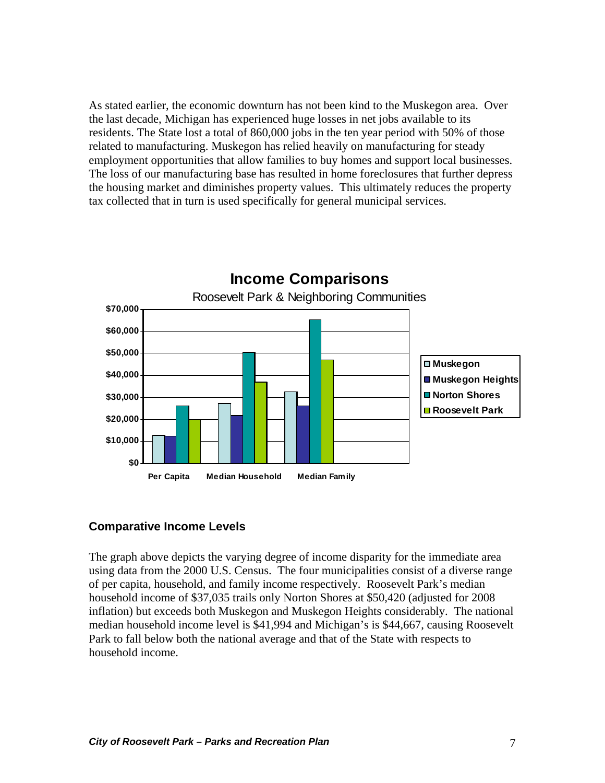<span id="page-6-0"></span>As stated earlier, the economic downturn has not been kind to the Muskegon area. Over the last decade, Michigan has experienced huge losses in net jobs available to its residents. The State lost a total of 860,000 jobs in the ten year period with 50% of those related to manufacturing. Muskegon has relied heavily on manufacturing for steady employment opportunities that allow families to buy homes and support local businesses. The loss of our manufacturing base has resulted in home foreclosures that further depress the housing market and diminishes property values. This ultimately reduces the property tax collected that in turn is used specifically for general municipal services.



## **Comparative Income Levels**

The graph above depicts the varying degree of income disparity for the immediate area using data from the 2000 U.S. Census. The four municipalities consist of a diverse range of per capita, household, and family income respectively. Roosevelt Park's median household income of \$37,035 trails only Norton Shores at \$50,420 (adjusted for 2008 inflation) but exceeds both Muskegon and Muskegon Heights considerably. The national median household income level is \$41,994 and Michigan's is \$44,667, causing Roosevelt Park to fall below both the national average and that of the State with respects to household income.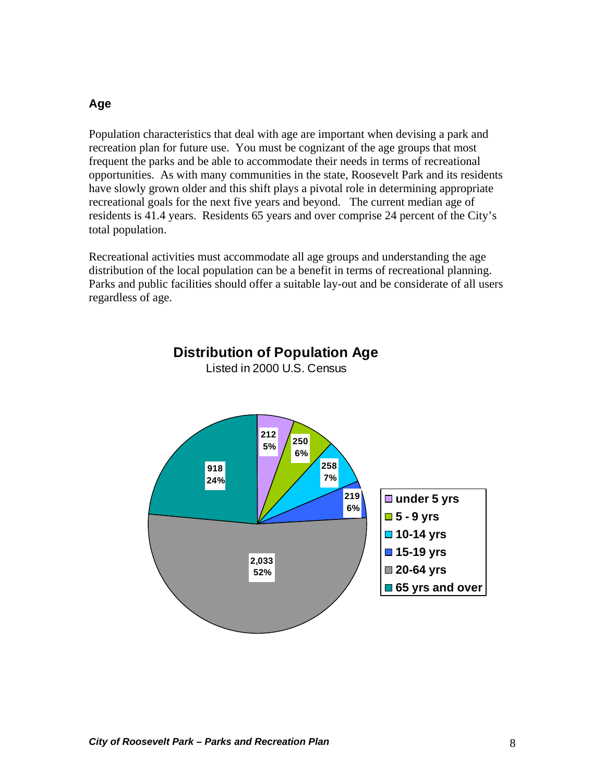#### <span id="page-7-0"></span>**Age**

Population characteristics that deal with age are important when devising a park and recreation plan for future use. You must be cognizant of the age groups that most frequent the parks and be able to accommodate their needs in terms of recreational opportunities. As with many communities in the state, Roosevelt Park and its residents have slowly grown older and this shift plays a pivotal role in determining appropriate recreational goals for the next five years and beyond. The current median age of residents is 41.4 years. Residents 65 years and over comprise 24 percent of the City's total population.

Recreational activities must accommodate all age groups and understanding the age distribution of the local population can be a benefit in terms of recreational planning. Parks and public facilities should offer a suitable lay-out and be considerate of all users regardless of age.



**Distribution of Population Age** Listed in 2000 U.S. Census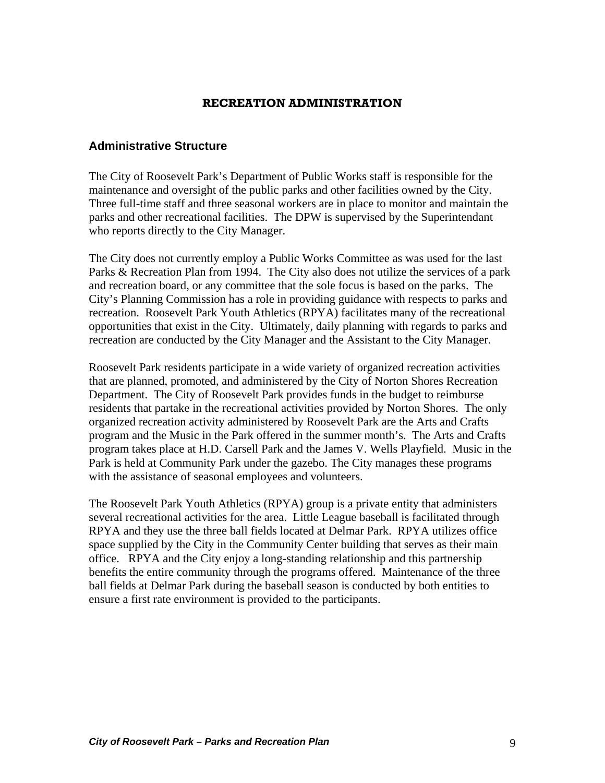#### **RECREATION ADMINISTRATION**

#### <span id="page-8-0"></span>**Administrative Structure**

The City of Roosevelt Park's Department of Public Works staff is responsible for the maintenance and oversight of the public parks and other facilities owned by the City. Three full-time staff and three seasonal workers are in place to monitor and maintain the parks and other recreational facilities. The DPW is supervised by the Superintendant who reports directly to the City Manager.

The City does not currently employ a Public Works Committee as was used for the last Parks & Recreation Plan from 1994. The City also does not utilize the services of a park and recreation board, or any committee that the sole focus is based on the parks. The City's Planning Commission has a role in providing guidance with respects to parks and recreation. Roosevelt Park Youth Athletics (RPYA) facilitates many of the recreational opportunities that exist in the City. Ultimately, daily planning with regards to parks and recreation are conducted by the City Manager and the Assistant to the City Manager.

Roosevelt Park residents participate in a wide variety of organized recreation activities that are planned, promoted, and administered by the City of Norton Shores Recreation Department. The City of Roosevelt Park provides funds in the budget to reimburse residents that partake in the recreational activities provided by Norton Shores. The only organized recreation activity administered by Roosevelt Park are the Arts and Crafts program and the Music in the Park offered in the summer month's. The Arts and Crafts program takes place at H.D. Carsell Park and the James V. Wells Playfield. Music in the Park is held at Community Park under the gazebo. The City manages these programs with the assistance of seasonal employees and volunteers.

The Roosevelt Park Youth Athletics (RPYA) group is a private entity that administers several recreational activities for the area. Little League baseball is facilitated through RPYA and they use the three ball fields located at Delmar Park. RPYA utilizes office space supplied by the City in the Community Center building that serves as their main office. RPYA and the City enjoy a long-standing relationship and this partnership benefits the entire community through the programs offered. Maintenance of the three ball fields at Delmar Park during the baseball season is conducted by both entities to ensure a first rate environment is provided to the participants.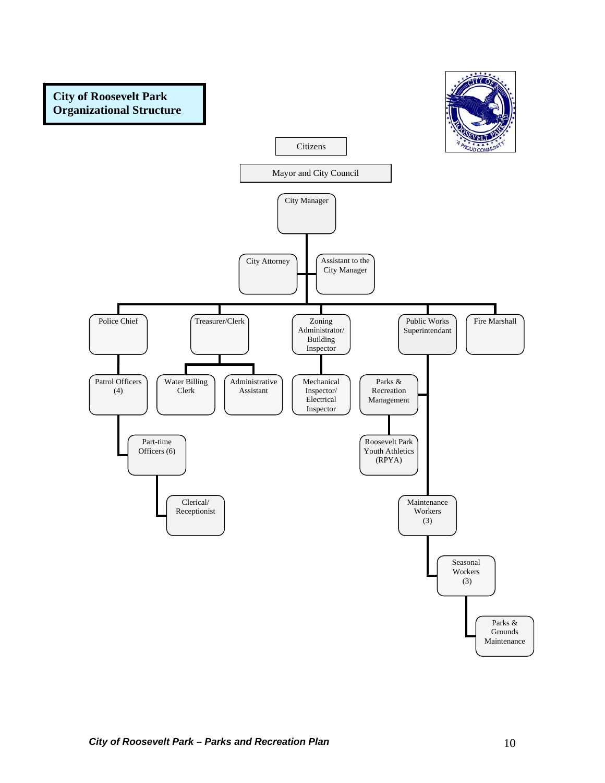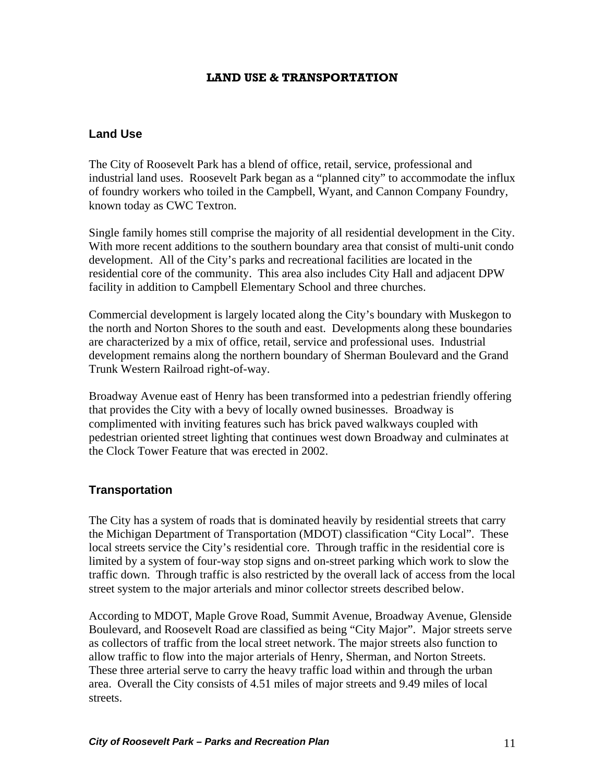#### **LAND USE & TRANSPORTATION**

#### <span id="page-10-0"></span>**Land Use**

industrial land uses. Roosevelt Park began as a "planned city" to accommodate the influx of foundry workers who toiled in the Campbell, Wyant, and Cannon Company Foundry, The City of Roosevelt Park has a blend of office, retail, service, professional and known today as CWC Textron.

. Single family homes still comprise the majority of all residential development in the City development. All of the City's parks and recreational facilities are located in the residential core of the community. This area also includes City Hall and adjacent DPW With more recent additions to the southern boundary area that consist of multi-unit condo facility in addition to Campbell Elementary School and three churches.

Commercial development is largely located along the City's boundary with Muskegon to are characterized by a mix of office, retail, service and professional uses. Industrial the north and Norton Shores to the south and east. Developments along these boundaries development remains along the northern boundary of Sherman Boulevard and the Grand Trunk Western Railroad right-of-way.

Broadway Avenue east of Henry has been transformed into a pedestrian friendly offering complimented with inviting features such has brick paved walkways coupled with pedestrian oriented street lighting that continues west down Broadway and culminates at the Clock Tower Feature that was erected in 2002. that provides the City with a bevy of locally owned businesses. Broadway is

#### **Transportation**

limited by a system of four-way stop signs and on-street parking which work to slow the The City has a system of roads that is dominated heavily by residential streets that carry the Michigan Department of Transportation (MDOT) classification "City Local". These local streets service the City's residential core. Through traffic in the residential core is traffic down. Through traffic is also restricted by the overall lack of access from the local street system to the major arterials and minor collector streets described below.

According to MDOT, Maple Grove Road, Summit Avenue, Broadway Avenue, Glenside Boulevard, and Roosevelt Road are classified as being "City Major". Major streets serve These three arterial serve to carry the heavy traffic load within and through the urban area. Overall the City consists of 4.51 miles of major streets and 9.49 miles of local streets. as collectors of traffic from the local street network. The major streets also function to allow traffic to flow into the major arterials of Henry, Sherman, and Norton Streets.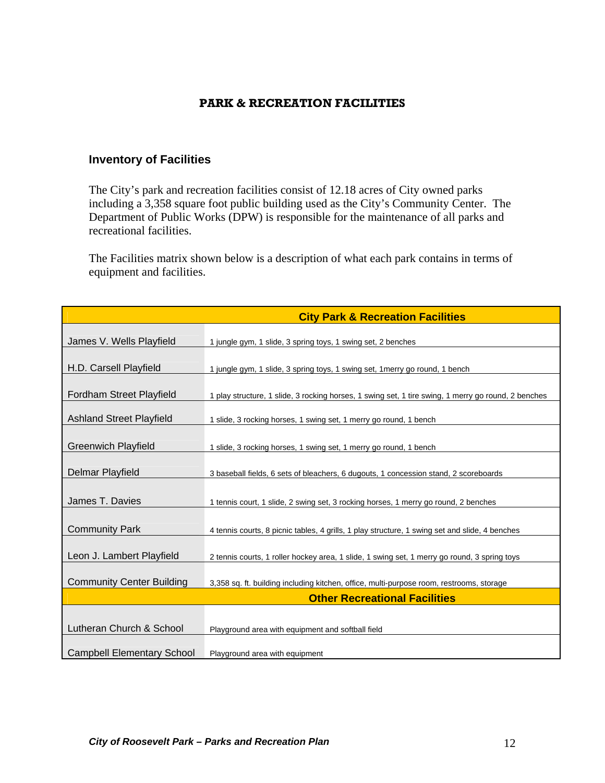## **PARK & RECREATION FACILITIES**

## <span id="page-11-0"></span>**Inventory of Facilities**

including a 3,358 square foot public building used as the City's Community Center. The Department of Public Works (DPW) is responsible for the maintenance of all parks and The City's park and recreation facilities consist of 12.18 acres of City owned parks recreational facilities.

The Facilities matrix shown below is a description of what each park contains in terms of equipment and facilities.

|                                   | <b>City Park &amp; Recreation Facilities</b>                                                        |
|-----------------------------------|-----------------------------------------------------------------------------------------------------|
| James V. Wells Playfield          | 1 jungle gym, 1 slide, 3 spring toys, 1 swing set, 2 benches                                        |
| H.D. Carsell Playfield            | 1 jungle gym, 1 slide, 3 spring toys, 1 swing set, 1 merry go round, 1 bench                        |
| Fordham Street Playfield          | 1 play structure, 1 slide, 3 rocking horses, 1 swing set, 1 tire swing, 1 merry go round, 2 benches |
| <b>Ashland Street Playfield</b>   | 1 slide, 3 rocking horses, 1 swing set, 1 merry go round, 1 bench                                   |
| <b>Greenwich Playfield</b>        | 1 slide, 3 rocking horses, 1 swing set, 1 merry go round, 1 bench                                   |
| Delmar Playfield                  | 3 baseball fields, 6 sets of bleachers, 6 dugouts, 1 concession stand, 2 scoreboards                |
|                                   |                                                                                                     |
| James T. Davies                   | 1 tennis court, 1 slide, 2 swing set, 3 rocking horses, 1 merry go round, 2 benches                 |
| <b>Community Park</b>             | 4 tennis courts, 8 picnic tables, 4 grills, 1 play structure, 1 swing set and slide, 4 benches      |
| Leon J. Lambert Playfield         | 2 tennis courts, 1 roller hockey area, 1 slide, 1 swing set, 1 merry go round, 3 spring toys        |
| <b>Community Center Building</b>  | 3,358 sq. ft. building including kitchen, office, multi-purpose room, restrooms, storage            |
|                                   | <b>Other Recreational Facilities</b>                                                                |
|                                   |                                                                                                     |
| Lutheran Church & School          | Playground area with equipment and softball field                                                   |
| <b>Campbell Elementary School</b> | Playground area with equipment                                                                      |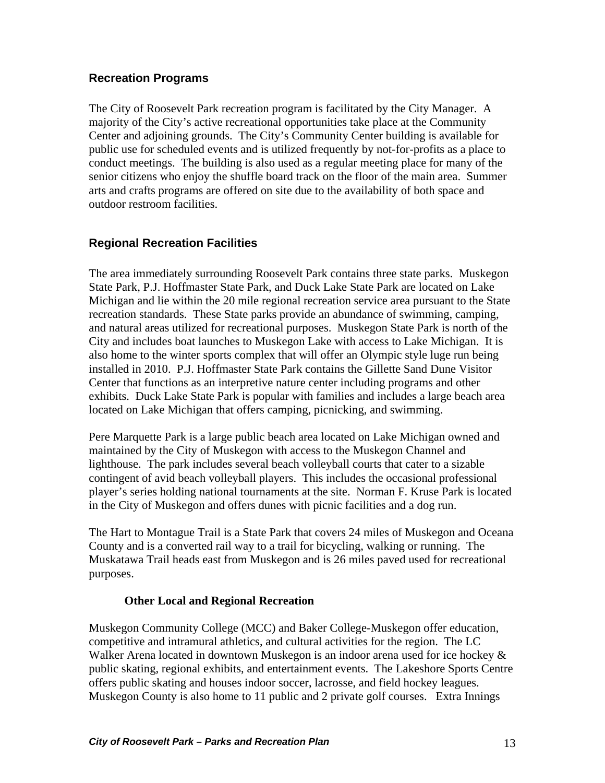## <span id="page-12-0"></span>**Recreation Programs**

The City of Roosevelt Park recreation program is facilitated by the City Manager. A majority of the City's active recreational opportunities take place at the Community Center and adjoining grounds. The City's Community Center building is available for public use for scheduled events and is utilized frequently by not-for-profits as a place to conduct meetings. The building is also used as a regular meeting place for many of t he senior citizens who enjoy the s huffle board track on the floor of the main area. Summer arts and crafts programs are offered on site due to the availability of both space and outdoor restroom facilities.

## **Regional Recreation Facilities**

City and includes boat launches to Muskegon Lake with access to Lake Michigan. It is Center that functions as an interpretive nature center including programs and other exhibits. Duck Lake State Park is popular with families and includes a large beach area The area immediately surrounding Roosevelt Park contains three state parks. Muskegon State Park, P.J. Hoffmaster State Park, and Duck Lake State Park are located on Lake Michigan and lie within the 20 mile regional recreation service area pursuant to the State recreation standards. These State parks provide an abundance of swimming, camping, and natural areas utilized for recreational purposes. Muskegon State Park is north of the also home to the winter sports complex that will offer an Olympic style luge run being installed in 2010. P.J. Hoffmaster State Park contains the Gillette Sand Dune Visitor located on Lake Michigan that offers camping, picnicking, and swimming.

Pere Marquette Park is a large public beach area located on Lake Michigan owned and contingent of avid beach volleyball players. This includes the occasional professional player's series holding national tournaments at the site. Norman F. Kruse Park is located maintained by the City of Muskegon with access to the Muskegon Channel and lighthouse. The park includes several beach volleyball courts that cater to a sizable in the City of Muskegon and offers dunes with picnic facilities and a dog run.

County and is a converted rail way to a trail for bicycling, walking or running. The Muskatawa Trail heads east from Muskegon and is 26 miles paved used for recreational The Hart to Montague Trail is a State Park that covers 24 miles of Muskegon and Oceana purposes.

## **Other Local and Regional Recreation**

Walker Arena located in downtown Muskegon is an indoor arena used for ice hockey  $\&$ public skating, regional exhibits, and entertainment events. The Lakeshore Sports Centre Muskegon Community College (MCC) and Baker College-Muskegon offer education, competitive and intramural athletics, and cultural activities for the region. The LC offers public skating and houses indoor soccer, lacrosse, and field hockey leagues. Muskegon County is also home to 11 public and 2 private golf courses. Extra Innings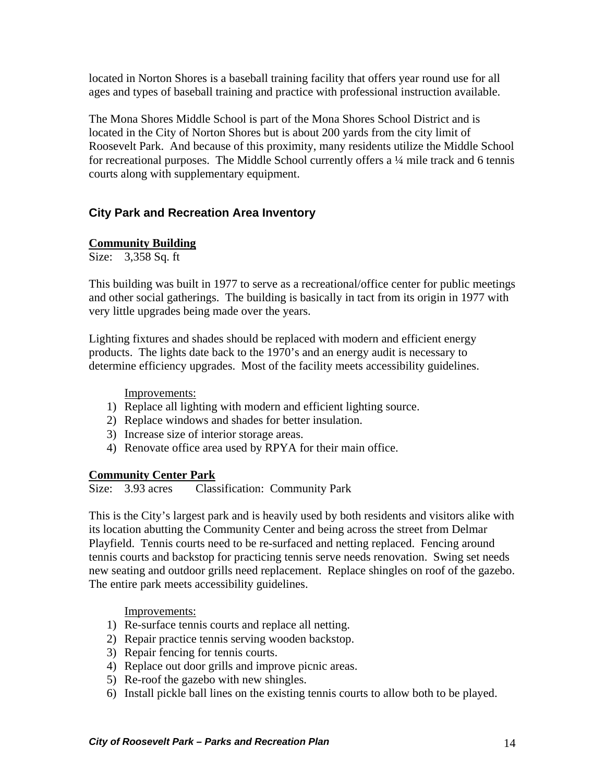<span id="page-13-0"></span>located in Norton Shores is a baseball training facility that offers year round use for all ages and types of baseball training and practice with professional instruction available.

Roosevelt Park. And because of this proximity, many residents utilize the Middle School for recreational purposes. The Middle School currently offers a 1/4 mile track and 6 tennis courts along with supplementary equipment. The Mona Shores Middle School is part of the Mona Shores School District and is located in the City of Norton Shores but is about 200 yards from the city limit of

## **City Park and Recreation Area Inventory**

## **Community Building**

Size: 3,358 Sq. ft

This building was built in 1977 to serve as a recreational/office center for public meetings and other social gatherings. The building is basically in tact from its origin in 1977 with very little upgrades being made over the years.

products. The lights date back to the 1970's and an energy audit is necessary to determine efficiency upgrades. Most of the facility meets accessibility guidelines. Lighting fixtures and shades should be replaced with modern and efficient energy

Improvements:

- 1) Replace all lighting with modern and efficient lighting source.
- 2) Replace windows and shades for better insulation.
- 3) Increase size of interior storage areas.
- 4) Renovate office area used by RPYA for their main office.

#### **Community Center Park**

Size: 3.93 acres Classification: Community Park

This is the City's largest park and is heavily used by both residents and visitors alike with tennis courts and backstop for practicing tennis serve needs renovation. Swing set needs new seating and outdoor grills need replacement. Replace shingles on roof of the gazebo. The entire park meets accessibility guidelines. its location abutting the Community Center and being across the street from Delmar Playfield. Tennis courts need to be re-surfaced and netting replaced. Fencing around

- 1) Re-surface tennis courts and replace all netting.
- 2) Repair practice tennis serving wooden backstop.
- 3) Repair fencing for tennis courts.
- 4) Replace out door grills and improve picnic areas.
- 5) Re-roof the gazebo with new shingles.
- 6) Install pickle ball lines on the existing tennis courts to allow both to be played.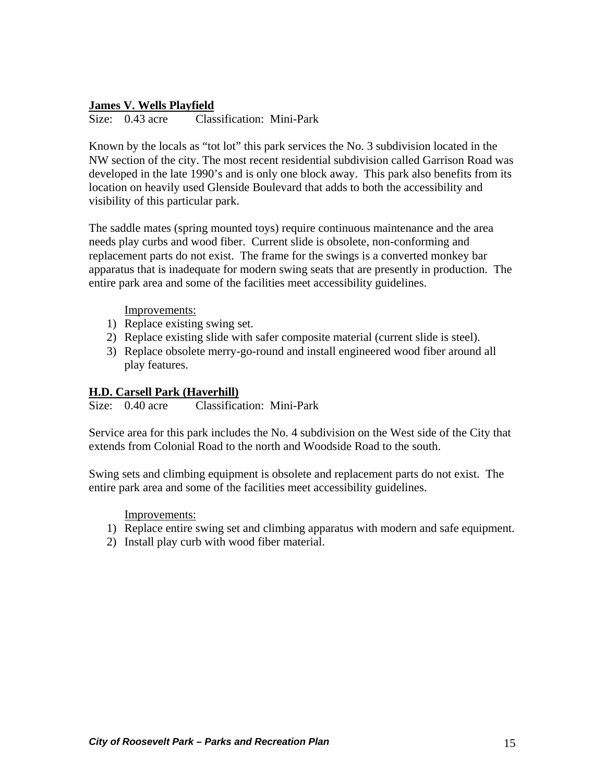## **James V. Wells Playfield**

Size: 0.43 acre Classification: Mini-Park

NW section of the city. The most recent residential subdivision called Garrison Road was developed in the late 1990's and is only one block away. This park also benefits from its location on heavily used Glenside Boulevard that adds to both the accessibility and Known by the locals as "tot lot" this park services the No. 3 subdivision located in the visibility of this particular park.

replacement parts do not exist. The frame for the swings is a converted monkey bar pparatus that is inadequate for modern swing seats that are presently in production. The a entire park area and some of the facilities meet accessibility guidelines. The saddle mates (spring mounted toys) require continuous maintenance and the area needs play curbs and wood fiber. Current slide is obsolete, non-conforming and

#### Improvements:

- 1) Replace existing swing set.
- 2) Replace existing slide with safer composite material (current slide is steel).
- 3) Replace obsolete merry-go-round and install engineered wood fiber around all play features.

#### **.D. Carsell Park (Haverhill) H**

Size: 0.40 acre Classification: Mini-Park

Service area for this park includes the No. 4 subdivision on the West side of the City that extends from Colonial Road to the north and Woodside Road to the south.

Swing sets and climbing equipment is obsolete and replacement parts do not exist. The entire park area and some of the facilities meet accessibility guidelines.

- 1) Replace entire swing set and climbing apparatus with modern and safe equipment.
- 2) Install play curb with wood fiber material.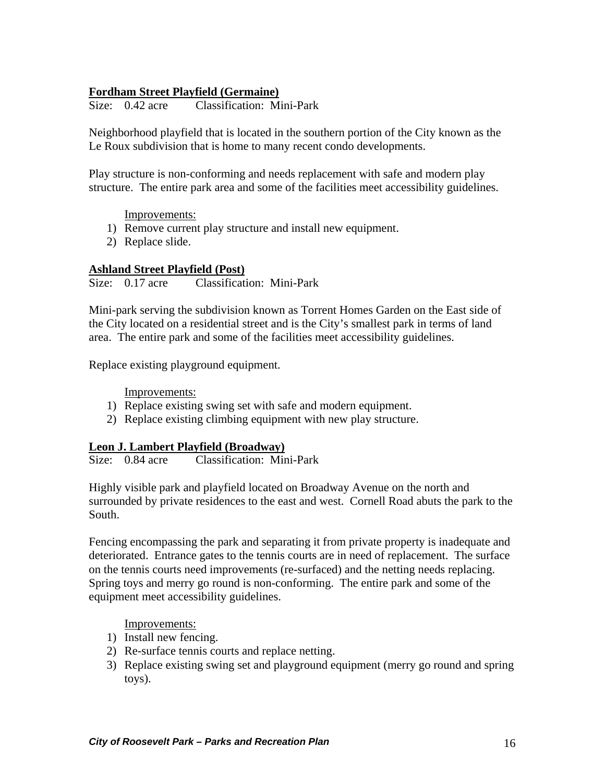## **Fordham Street Playfield (Germaine)**

Size: 0.42 acre Classification: Mini-Park

Neighborhood playfield that is located in the southern portion of the City known as the Le Roux subdivision that is home to many recent condo developments.

Play structure is non-conforming and needs replacement with safe and modern play structure. The entire park area and some of the facilities meet accessibility guidelines.

Improvements:

- 1) Remove current play structure and install new equipment.
- 2) Replace slide.

#### **Ashland Street Playfield (Post)**

Size: 0.17 acre Classification: Mini-Park

Mini-park serving the subdivision known as Torrent Homes Garden on the East side of the City located on a residential street and is the City's smallest park in terms of land area. The entire park and some of the facilities meet accessibility guidelines.

Replace existing playground equipment.

Improvements:

- 1) Replace existing swing set with safe and modern equipment.
- 2) Replace existing climbing equipment with new play structure.

#### **Leon J. Lambert Playfield (Broadway)**

Size: 0.84 acre Classification: Mini-Park

Highly visible park and playfield located on Broadway Avenue on the north and surrounded by private residences to the east and west. Cornell Road abuts the park to the South.

Fencing encompassing the park and separating it from private property is inadequate and deteriorated. Entrance gates to the tennis courts are in need of replacement. The surface on the tennis courts need improvements (re-surfaced) and the netting needs replacing. Spring toys and merry go round is non-conforming. The entire park and some of the equipment meet accessibility guidelines.

- 1) Install new fencing.
- 2) Re-surface tennis courts and replace netting.
- 3) Replace existing swing set and playground equipment (merry go round and spring toys).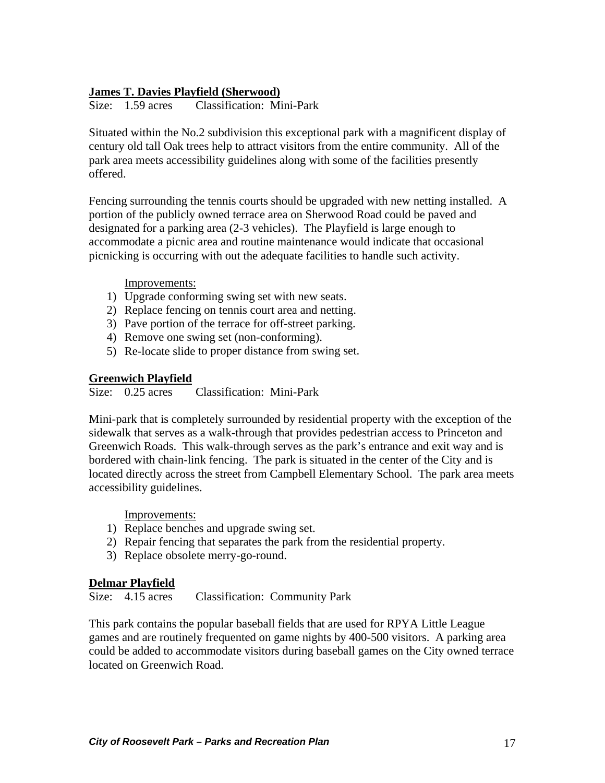## **James T. Davies Playfield (Sherwood)**

Size: 1.59 acres Classification: Mini-Park

Situated within the No.2 subdivision this exceptional park with a magnificent display of century old tall Oak trees help to attract visitors from the entire community. All of the park area meets accessibility guidelines along with some of the facilities presently offered.

Fencing surrounding the tennis courts should be upgraded with new netting installed. A accommodate a picnic area and routine maintenance would indicate that occasional picnicking is occurring with out the adequate facilities to handle such activity. portion of the publicly owned terrace area on Sherwood Road could be paved and designated for a parking area (2-3 vehicles). The Playfield is large enough to

Improvements:

- 1) Upgrade conforming swing set with new seats.
- 2) Replace fencing on tennis court area and netting.
- 3) Pave portion of the terrace for off-street parking.
- 4) Remove one swing set (non-conforming).
- 5) Re-locate slide to proper distance from swing set.

## **Greenwich Playfield**

Size: 0.25 acres Classification: Mini-Park

bordered with chain-link fencing. The park is situated in the center of the City and is located directly across the street from Campbell Elementary School. The park area meets accessibility guidelines. Mini-park that is completely surrounded by residential property with the exception of the sidewalk that serves as a walk-through that provides pedestrian access to Princeton and Greenwich Roads. This walk-through serves as the park's entrance and exit way and is

Improvements:

- 1) Replace benches and upgrade swing set.
- ) Repair fencing that separates the park from the residential property. 2
- 3) Replace obsolete merry-go-round.

#### **elmar Playfield D**

Size: 4.15 acres Classification: Community Park

games and are routinely frequented on game nights by 400-500 visitors. A parking area could be added to accommodate visitors during baseball games on the City owned terrace This park contains the popular baseball fields that are used for RPYA Little League located on Greenwich Road.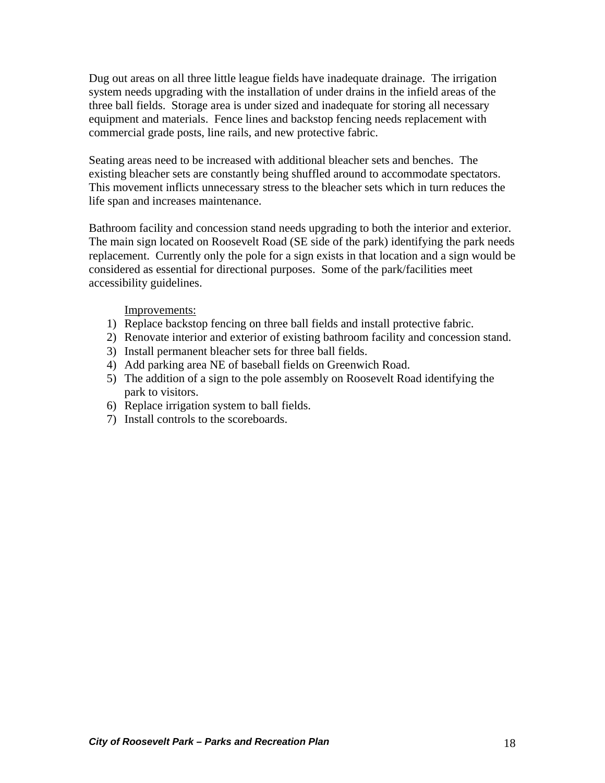Dug out areas on all three little league fields have inadequate drainage. The irrigation system needs upgrading with the installation of under drains in the infield areas of the three ball fields. Storage area is under sized and inadequate for storing all necessary equipment and materials. Fence lines and backstop fencing needs replacement with commercial grade posts, line rails, and new protective fabric.

Seating areas need to be increased with additional bleacher sets and benches. The existing bleacher sets are constantly being shuffled around to accommodate spectators. This movement inflicts unnecessary stress to the bleacher sets which in turn reduces the life span and increases maintenance.

Bathroom facility and concession stand needs upgrading to both the interior and exterior. The main sign located on Roosevelt Road (SE side of the park) identifying the park needs replacement. Currently only the pole for a sign exists in that location and a sign would be considered as essential for directional purposes. Some of the park/facilities meet acc essibility guidelines.

- 1) Replace backstop fencing on three ball fields and install protective fabric.
- 2) Renovate interior and exterior of existing bathroom facility and concession stand.
- 3) Install permanent bleacher sets for three ball fields.
- 4) Add parking area NE of baseball fields on Greenwich Road.
- 5) The addition of a sign to the pole assembly on Roosevelt Road identifying the park to visitors.
- ) Replace irrigation system to ball fields. 6
- ) Install controls to the scoreboards. 7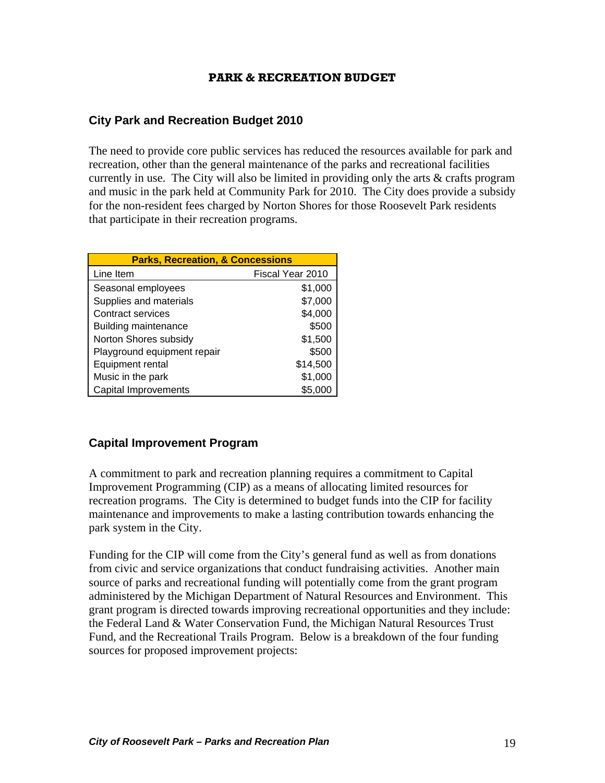#### **PARK & RECREATION BUDGET**

## <span id="page-18-0"></span>**City Park and Recreation Budget 2010**

currently in use. The City will also be limited in providing only the arts  $\&$  crafts program and music in the park held at Community Park for 2010. The City does provide a subsidy for the non-resident fees charged by Norton Shores for those Roosevelt Park residents that participate in their recreation programs. The need to provide core public services has reduced the resources available for park and recreation, other than the general maintenance of the parks and recreational facilities

| <b>Parks, Recreation, &amp; Concessions</b> |                  |  |  |
|---------------------------------------------|------------------|--|--|
| Line Item                                   | Fiscal Year 2010 |  |  |
| Seasonal employees                          | \$1,000          |  |  |
| Supplies and materials                      | \$7,000          |  |  |
| <b>Contract services</b>                    | \$4,000          |  |  |
| Building maintenance                        | \$500            |  |  |
| Norton Shores subsidy                       | \$1,500          |  |  |
| Playground equipment repair                 | \$500            |  |  |
| Equipment rental                            | \$14,500         |  |  |
| Music in the park                           | \$1,000          |  |  |
| Capital Improvements                        | \$5.000          |  |  |

## **Capital Improvement Program**

Improvement Programming (CIP) as a means of allocating limited resources for recreation programs. The City is determined to budget funds into the CIP for facility A commitment to park and recreation planning requires a commitment to Capital maintenance and improvements to make a lasting contribution towards enhancing the park system in the City.

administered by the Michigan Department of Natural Resources and Environment. This grant program is directed towards improving recreational opportunities and they include: the Federal Land & Water Conservation Fund, the Michigan Natural Resources Trust Fund, and the Recreational Trails Program. Below is a breakdown of the four funding sources for proposed improvement projects: Funding for the CIP will come from the City's general fund as well as from donations from civic and service organizations that conduct fundraising activities. Another main source of parks and recreational funding will potentially come from the grant program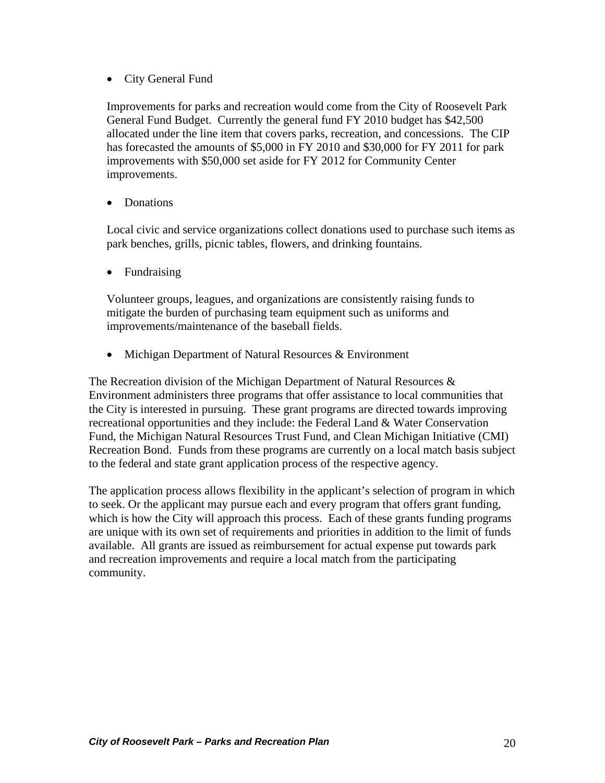• City General Fund

Improvements for parks and recreation would come from the City of Roosevelt Park General Fund Budget. Currently the general fund FY 2010 budget has \$42,500 allocated under the line item that covers parks, recreation, and concessions . The CIP has forecasted the amounts of \$5,000 in FY 2010 and \$30,000 for FY 2011 for park improvements with \$50,000 set aside for FY 2012 for Community Center improvements.

• Donations

Local civic and service organizations collect donations used to purchase such items as park benches, grills, picnic tables, flowers, and drinking fountains.

• Fundraising

Volunteer groups, leagues, and organizations are consistently raising funds to mitigate the burden of purchasing team equipment such as uniforms and improvements/maintenance of the baseball fields.

• Michigan Department of Natural Resources & Environment

Environment administers three programs that offer assistance to local communities that Fund, the Michigan Natural Resources Trust Fund, and Clean Michigan Initiative (CMI) Recreation Bond. Funds from these programs are currently on a local match basis subject The Recreation division of the Michigan Department of Natural Resources  $\&$ the City is interested in pursuing. These grant programs are directed towards improving recreational opportunities and they include: the Federal Land & Water Conservation to the federal and state grant application process of the respective agency.

which is how the City will approach this process. Each of these grants funding programs are unique with its own set of requirements and priorities in addition to the limit of funds available. All grants are issued as reimbursement for actual expense put towards park and recreation improvements and require a local match from the participating community. The application process allows flexibility in the applicant's selection of program in which to seek. Or the applicant may pursue each and every program that offers grant funding,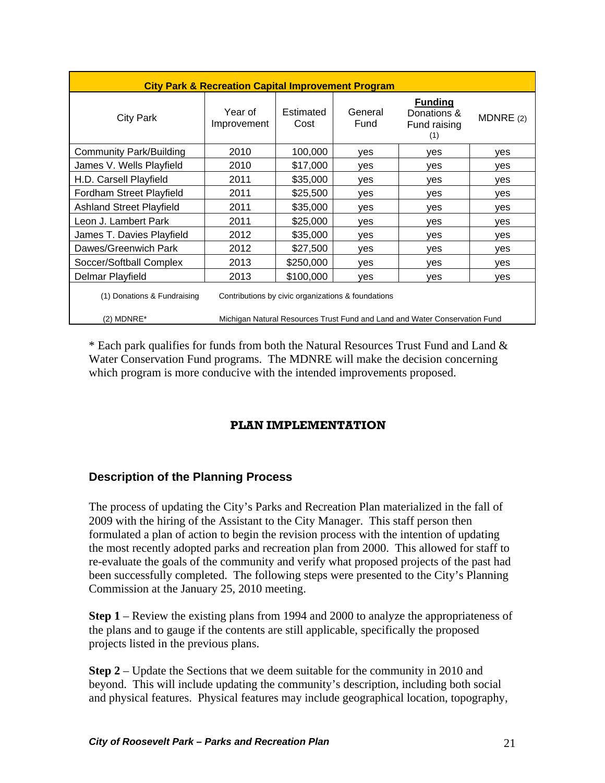<span id="page-20-0"></span>

| <b>City Park &amp; Recreation Capital Improvement Program</b> |                                                                            |                   |                 |                                                      |             |
|---------------------------------------------------------------|----------------------------------------------------------------------------|-------------------|-----------------|------------------------------------------------------|-------------|
| <b>City Park</b>                                              | Year of<br>Improvement                                                     | Estimated<br>Cost | General<br>Fund | <b>Funding</b><br>Donations &<br>Fund raising<br>(1) | MDNRE $(2)$ |
| <b>Community Park/Building</b>                                | 2010                                                                       | 100,000           | yes             | yes                                                  | yes         |
| James V. Wells Playfield                                      | 2010                                                                       | \$17,000          | yes             | yes                                                  | yes         |
| H.D. Carsell Playfield                                        | 2011                                                                       | \$35,000          | yes             | yes                                                  | yes         |
| Fordham Street Playfield                                      | 2011                                                                       | \$25,500          | ves             | ves                                                  | yes         |
| <b>Ashland Street Playfield</b>                               | 2011                                                                       | \$35,000          | yes             | yes                                                  | yes         |
| Leon J. Lambert Park                                          | 2011                                                                       | \$25,000          | yes             | yes                                                  | yes         |
| James T. Davies Playfield                                     | 2012                                                                       | \$35,000          | yes             | yes                                                  | yes         |
| Dawes/Greenwich Park                                          | 2012                                                                       | \$27,500          | yes             | yes                                                  | yes         |
| Soccer/Softball Complex                                       | 2013                                                                       | \$250,000         | yes             | yes                                                  | yes         |
| Delmar Playfield                                              | 2013                                                                       | \$100,000         | ves             | ves                                                  | ves         |
| (1) Donations & Fundraising                                   | Contributions by civic organizations & foundations                         |                   |                 |                                                      |             |
| (2) MDNRE*                                                    | Michigan Natural Resources Trust Fund and Land and Water Conservation Fund |                   |                 |                                                      |             |

\* Each park qualifies for funds from both the Natural Resources Trust Fund and Land & Water Conservation Fund programs. The MDNRE will make the decision concerning which program is more conducive with the intended improvements proposed.

## **PLAN IMPLEMENTATION**

## **Description of the Planning Process**

been successfully completed. The following steps were presented to the City's Planning The process of updating the City's Parks and Recreation Plan materialized in the fall of 2009 with the hiring of the Assistant to the City Manager. This staff person then formulated a plan of action to begin the revision process with the intention of updating the most recently adopted parks and recreation plan from 2000. This allowed for staff to re-evaluate the goals of the community and verify what proposed projects of the past had Commission at the January 25, 2010 meeting.

**Step 1** – Review the existing plans from 1994 and 2000 to analyze the appropriateness of the plans and to gauge if the contents are still applicable, specifically the proposed projects listed in the previous plans.

**Step 2** – Update the Sections that we deem suitable for the community in 2010 and beyond. This will include updating the community's description, including both social and physical features. Physical features may include geographical location, topography,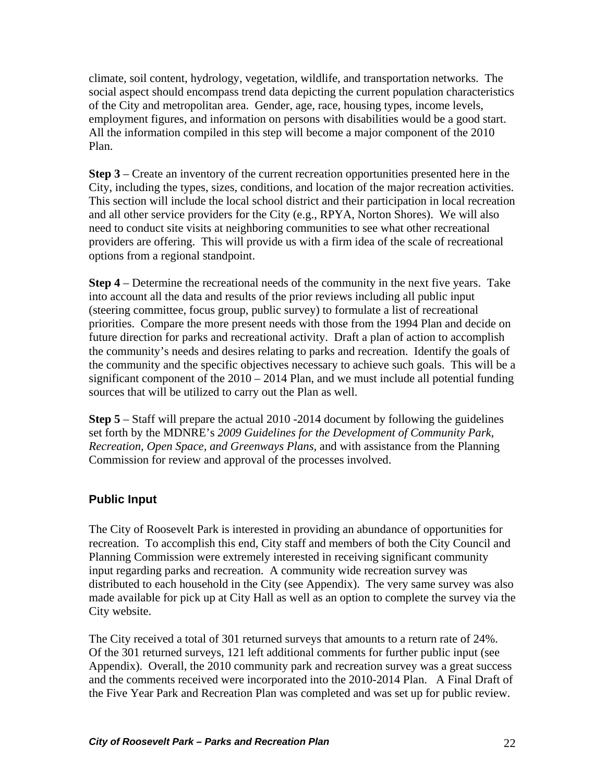<span id="page-21-0"></span>climate, soil content, hydrology, vegetation, wildlife, and transportation networks. T he social aspect should encompass trend data depicting the current population characteristics of the City and metropolitan area. Gender, age, race, housing types, income levels, employm ent figures, and information on persons with disabilities would be a good start. All the information compiled in this step will become a major component of the 2010 Plan.

City, including the types, sizes, conditions, and location of the major recreation activities. This section will include the local school district and their participation in local recreation need to conduct site visits at neighboring communities to see what other recreational providers are offering. This will provide us with a firm idea of the scale of recreational **Step 3** – Create an inventory of the current recreation opportunities presented here in the and all other service providers for the City (e.g., RPYA, Norton Shores). We will also options from a regional standpoint.

**Step 4** – Determine the recreational needs of the community in the next five years. Take the community and the specific objectives necessary to achieve such goals. This will be a significant component of the  $2010 - 2014$  Plan, and we must include all potential funding into account all the data and results of the prior reviews including all public input (steering committee, focus group, public survey) to formulate a list of recreational priorities. Compare the more present needs with those from the 1994 Plan and decide on future direction for parks and recreational activity. Draft a plan of action to accomplish the community's needs and desires relating to parks and recreation. Identify the goals of sources that will be utilized to carry out the Plan as well.

*f Community Park,*  set forth by the MDNRE's *2009 Guidelines for the Development o ecreation, Open Space, and Greenways Plans*, and with assistance from the Planning *R* Commission for review and approval of the processes involved. **Step 5** – Staff will prepare the actual 2010 -2014 document by following the guidelines

## **Public Input**

The City of Roosevelt Park is interested in providing an abundance of opportunities for recreation. To accomplish this end, City staff and members of both the City Council and distributed to each household in the City (see Appendix). The very same survey was also made available for pick up at City Hall as well as an option to complete the survey via the Planning Commission were extremely interested in receiving significant community input regarding parks and recreation. A community wide recreation survey was City website.

the Five Year Park and Recreation Plan was completed and was set up for public review. The City received a total of 301 returned surveys that amounts to a return rate of 24%. Of the 301 returned surveys, 121 left additional comments for further public input (see Appendix). Overall, the 2010 community park and recreation survey was a great success and the comments received were incorporated into the 2010-2014 Plan. A Final Draft of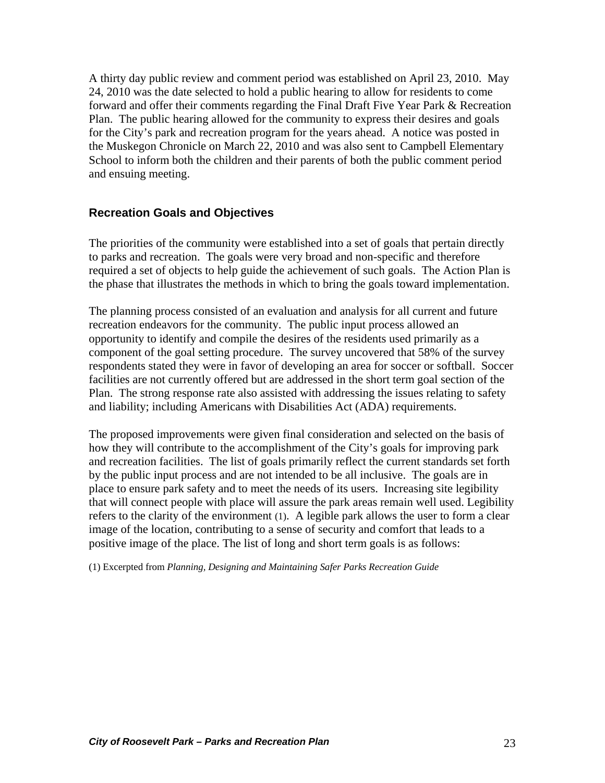<span id="page-22-0"></span>A thirty day public review and comment period was established on April 23, 2010. May 24, 2010 was the date selected to hold a public hearing to allow for residents to come forward and offer their comments regarding the Final Draft Five Year Park & Recreation Plan. The public hearing allowed for the community to express their desires and goals for the City's park and recreation program for the years ahead. A notice was posted in the Muskegon Chronicle on March 22, 2010 and was also sent to Campbell Elementary School to inform both the children and their parents of both the public comment period and ensuing meeting.

## **Recreation Goals and Objectives**

required a set of objects to help guide the achievement of such goals. The Action Plan is . the phase that illustrates the methods in which to bring the goals toward implementation The priorities of the community were established into a set of goals that pertain directly to parks and recreation. The goals were very broad and non-specific and therefore

The planning process consisted of an evaluation and analysis for all current and future facilities are not currently offered but are addressed in the short term goal section of the Plan. The strong response rate also assisted with addressing the issues relating to safety recreation endeavors for the community. The public input process allowed an opportunity to identify and compile the desires of the residents used primarily as a component of the goal setting procedure. The survey uncovered that 58% of the survey respondents stated they were in favor of developing an area for soccer or softball. Soccer and liability; including Americans with Disabilities Act (ADA) requirements.

how they will contribute to the accomplishment of the City's goals for improving park and recreation facilities. The list of goals primarily reflect the current standards set forth that will connect people with place will assure the park areas remain well used. Legibility refers to the clarity of the environment (1). A legible park allows the user to form a clear image of the location, contributing to a sense of security and comfort that leads to a positive image of the place. The list of long and short term goals is as follows: The proposed improvements were given final consideration and selected on the basis of by the public input process and are not intended to be all inclusive. The goals are in place to ensure park safety and to meet the needs of its users. Increasing site legibility

) Excerpted from *Planning, Designing and Maintaining Safer Parks Recreation Guide* (1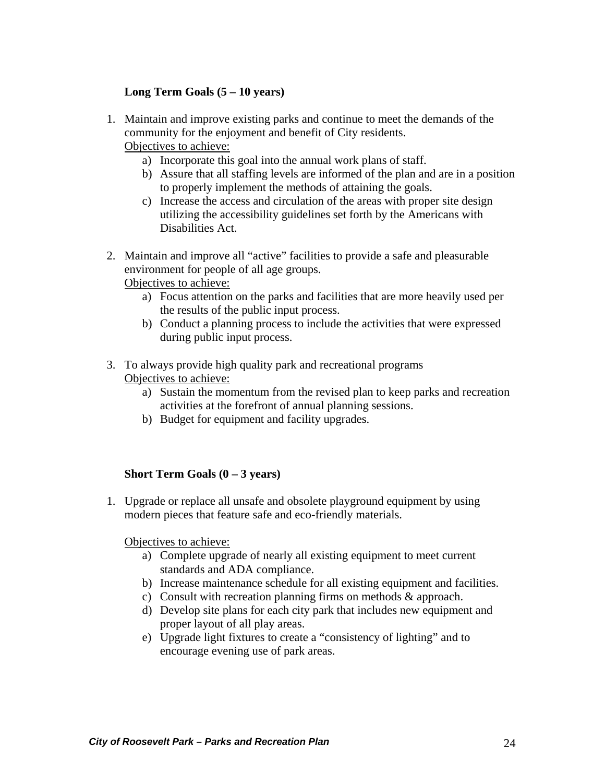## **Long Term Goals (5 – 10 years)**

- 1. Maintain and improve existing parks and continue to meet the demands of the com munity for the enjoyment and benefit of City residents. Objectives to achieve:
	- a) Incorporate this goal into the annual work plans of staff.
	- b) Assure that all staffing levels are informed of the plan and are in a position to properly implement the methods of attaining the goals.
	- c) Increase the access and circulation of the areas with proper site design utilizing the accessibility guidelines set forth by the Americans with Disabilities Act.
- 2. Maintain and improve all "active" facilities to provide a safe and pleasurable env ironment for people of all age groups.

Objectives to achieve:

- a) Focus attention on the parks and facilities that are more heavily used per the results of the public input process.
- ) Conduct a planning process to include the activities that were expressed b during public input process.
- 3. To always provide high quality park and recreational programs Objectives to achieve:
	- a) Sustain the momentum from the revised plan to keep parks and recreation activities at the forefront of annual planning sessions.
	- b) Budget for equipment and facility upgrades.

#### **Short Term Goals (0 – 3 years)**

1. Upgrade or replace all unsafe and obsolete playground equipment by using modern pieces that feature safe and eco-friendly materials.

Objectives to achieve:

- a) Complete upgrade of nearly all existing equipment to meet current standards and ADA compliance.
- b) Increase maintenance schedule for all existing equipment and facilities.
- c) Consult with recreation planning firms on methods & approach.
- d) Develop site plans for each city park that includes new equipment and proper layout of all play areas.
- e) Upgrade light fixtures to create a "consistency of lighting" and to encourage evening use of park areas.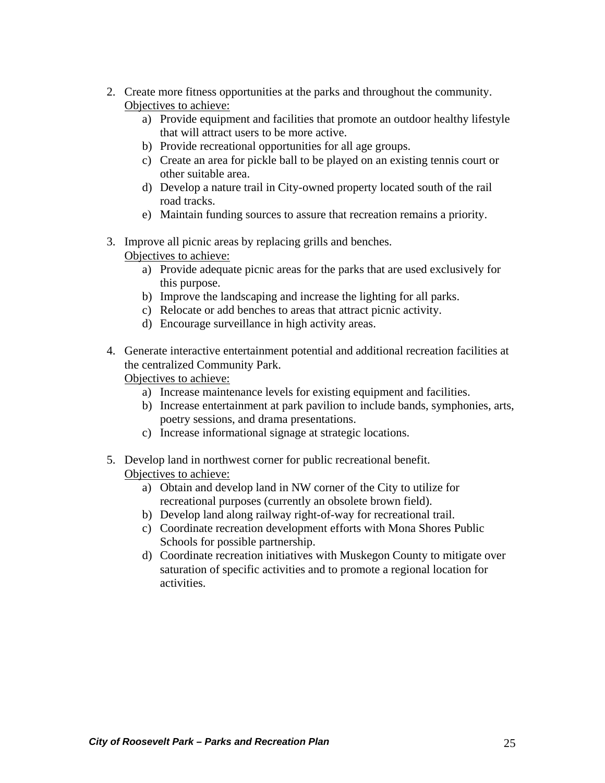- 2. Cre ate more fitness opportunities at the parks and throughout the community. Objectives to achieve:
	- a) Provide equipment and facilities that promote an outdoor healthy lifestyle that will attract users to be more active.
	- b) Provide recreational opportunities for all age groups.
	- other suitable area. c) Create an area for pickle ball to be played on an existing tennis court or
	- road tracks. d) Develop a nature trail in City-owned property located south of the rail
	- e) Maintain funding sources to assure that recreation remains a priority.
- 3. Imp rove all picnic areas by replacing grills and benches. Objectives to achieve:
	- a) Provide adequate picnic areas for the parks that are used exclusively for this purpose.
	- b) Improve the landscaping and increase the lighting for all parks.
	- c) Relocate or add benches to areas that attract picnic activity.
	- d) Encourage surveillance in high activity areas.
- 4. Generate interactive entertainment potential and additional recreation facilities at the cen tralized Community Park.

Objectives to achieve:

- a) Increase maintenance levels for existing equipment and facilities.
- b) Increase entertainment at park pavilion to include bands, symphonies, arts, poetry sessions, and drama presentations.
- c) Increase informational signage at strategic locations.
- 5. Dev elop land in northwest corner for public recreational benefit. Objectives to achieve:
	- a) Obtain and develop land in NW corner of the City to utilize for recreational purposes (currently an obsolete brown field).
	- b) Develop land along railway right-of-way for recreational trail.
	- c) Coordinate recreation development efforts with Mona Shores Public Schools for possible partnership.
	- d) Coordinate recreation initiatives with Muskegon County to mitigate over saturation of specific activities and to promote a regional location for activities.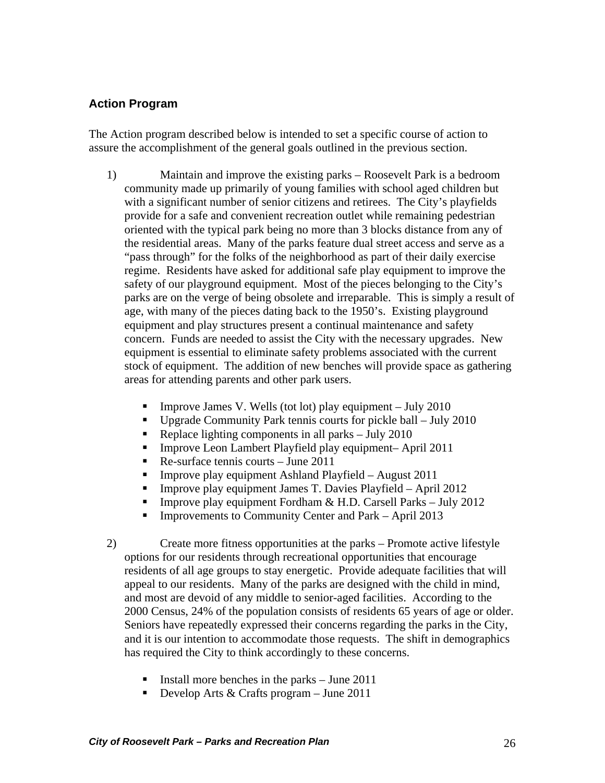## <span id="page-25-0"></span>**Action Program**

The Action program described below is intended to set a specific course of action to assure the accomplishment of the general goals outlined in the previous section.

- 1) safety of our playground equipment. Most of the pieces belonging to the City's parks are on the verge of being obsolete and irreparable. This is simply a result of equipment is essential to eliminate safety problems associated with the current stock of equipment. The addition of new benches will provide space as gathering areas for attending parents and other park users. Maintain and improve the existing parks – Roosevelt Park is a bedroom community made up primarily of young families with school aged children but with a significant number of senior citizens and retirees. The City's playfields provide for a safe and convenient recreation outlet while remaining pedestrian oriented with the typical park being no more than 3 blocks distance from any of the residential areas. Many of the parks feature dual street access and serve as a "pass through" for the folks of the neighborhood as part of their daily exercise regime. Residents have asked for additional safe play equipment to improve the age, with many of the pieces dating back to the 1950's. Existing playground equipment and play structures present a continual maintenance and safety concern. Funds are needed to assist the City with the necessary upgrades. New
	- **Improve James V. Wells (tot lot) play equipment July 2010**
	- Upgrade Community Park tennis courts for pickle ball  $-$  July 2010
	- Replace lighting components in all parks  $-$  July 2010
	- **Improve Leon Lambert Playfield play equipment– April 2011**
	- Re-surface tennis courts June  $2011$
	- **Improve play equipment Ashland Playfield August 2011**
	- **Improve play equipment James T. Davies Playfield April 2012**
	- **Improve play equipment Fordham & H.D. Carsell Parks July 2012**
	- $\blacksquare$ Improvements to Community Center and Park – April 2013
- 2) residents of all age groups to stay energetic. Provide adequate facilities that will Seniors have repeatedly expressed their concerns regarding the parks in the City, and it is our intention to accommodate those requests. The shift in demographics has required the City to think accordingly to these concerns. Create more fitness opportunities at the parks – Promote active lifestyle options for our residents through recreational opportunities that encourage appeal to our residents. Many of the parks are designed with the child in mind, and most are devoid of any middle to senior-aged facilities. According to the 2000 Census, 24% of the population consists of residents 65 years of age or older.
	- Install more benches in the parks June  $2011$
	- Develop Arts  $&$  Crafts program June 2011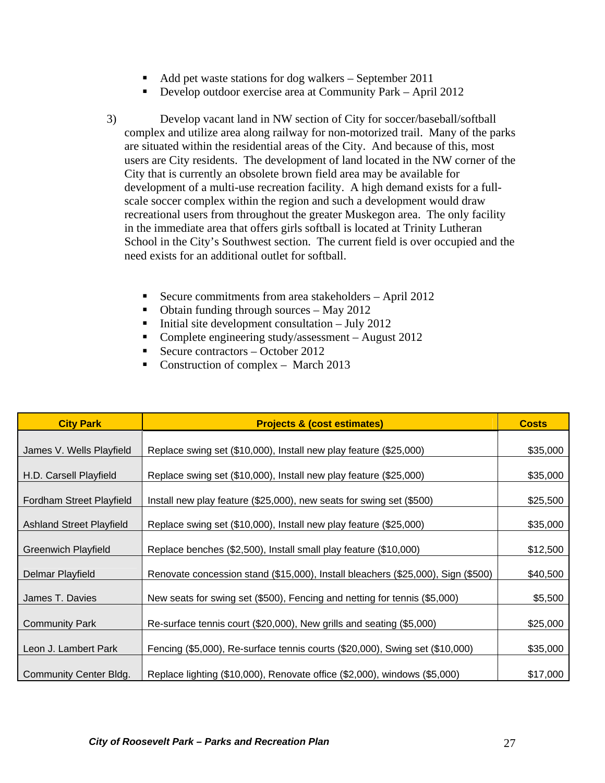- Add pet waste stations for dog walkers September 2011
- **Develop outdoor exercise area at Community Park April 2012**
- 3) are situated within the residential areas of the City. And because of this, most users are City residents. The development of land located in the NW corner of the in the immediate area that offers girls softball is located at Trinity Lutheran School in the City's Southwest section. The current field is over occupied and the need exists for an additional outlet for softball. Develop vacant land in NW section of City for soccer/baseball/softball complex and utilize area along railway for non-motorized trail. Many of the parks City that is currently an obsolete brown field area may be available for development of a multi-use recreation facility. A high demand exists for a fullscale soccer complex within the region and such a development would draw recreational users from throughout the greater Muskegon area. The only facility
	- Secure commitments from area stakeholders  $-$  April 2012
	- Obtain funding through sources May  $2012$
	- $\blacksquare$  Initial site development consultation July 2012
	- Complete engineering study/assessment August  $2012$
	- Secure contractors October 2012
	- Construction of complex March 2013

| <b>City Park</b>                | <b>Projects &amp; (cost estimates)</b>                                           | <b>Costs</b> |
|---------------------------------|----------------------------------------------------------------------------------|--------------|
|                                 |                                                                                  |              |
| James V. Wells Playfield        | Replace swing set (\$10,000), Install new play feature (\$25,000)                | \$35,000     |
|                                 |                                                                                  |              |
| H.D. Carsell Playfield          | Replace swing set (\$10,000), Install new play feature (\$25,000)                | \$35,000     |
|                                 |                                                                                  |              |
| Fordham Street Playfield        | Install new play feature (\$25,000), new seats for swing set (\$500)             | \$25,500     |
|                                 |                                                                                  |              |
| <b>Ashland Street Playfield</b> | Replace swing set (\$10,000), Install new play feature (\$25,000)                | \$35,000     |
|                                 |                                                                                  |              |
| <b>Greenwich Playfield</b>      | Replace benches (\$2,500), Install small play feature (\$10,000)                 | \$12,500     |
| Delmar Playfield                | Renovate concession stand (\$15,000), Install bleachers (\$25,000), Sign (\$500) | \$40,500     |
|                                 |                                                                                  |              |
| James T. Davies                 | New seats for swing set (\$500), Fencing and netting for tennis (\$5,000)        | \$5,500      |
|                                 |                                                                                  |              |
| <b>Community Park</b>           | Re-surface tennis court (\$20,000), New grills and seating (\$5,000)             | \$25,000     |
|                                 |                                                                                  |              |
| Leon J. Lambert Park            | Fencing (\$5,000), Re-surface tennis courts (\$20,000), Swing set (\$10,000)     | \$35,000     |
|                                 |                                                                                  |              |
| <b>Community Center Bldg.</b>   | Replace lighting (\$10,000), Renovate office (\$2,000), windows (\$5,000)        | \$17,000     |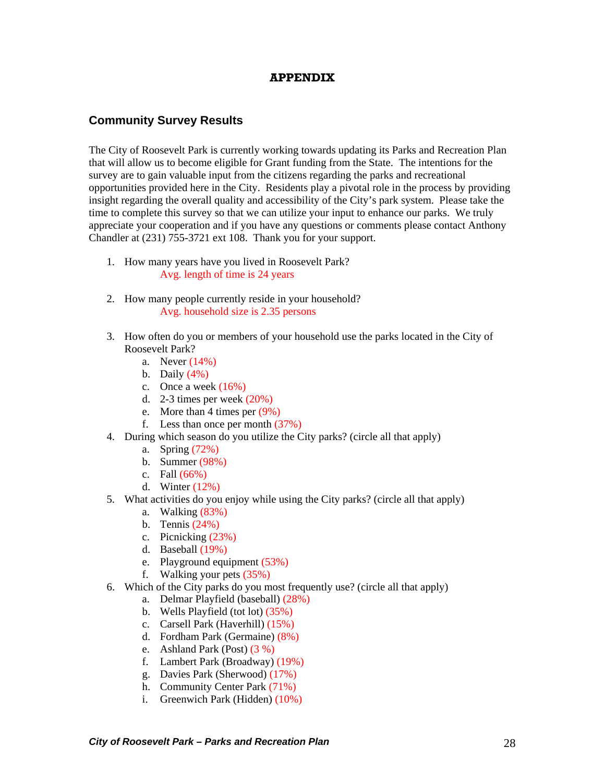#### **APPENDIX**

#### <span id="page-27-0"></span>**Community Survey Results**

The City of Roosevelt Park is currently working towards updating its Parks and Recreation Plan that will allow us to become eligible for Grant funding from the State. The intentions for the survey are to gain valuable input from the citizens regarding the parks and recreational opportunities provided here in the City. Residents play a pivotal role in the process by providing insight regarding the overall quality and accessibility of the City's park system. Please take the time to complete this survey so that we can utilize your input to enhance our parks. We truly appreciate your cooperation and if you have any questions or comments please contact Anthony Chandler at (231) 755-3721 ext 108. Thank you for your support.

- 1. How many years have you lived in Roosevelt Park? Avg. length of time is 24 years
- 2. How many people currently reside in your household? Avg. household size is 2.35 persons
- 3. How often do you or members of your household use the parks located in the City of Roosevelt Park?
	- a. Never (14%)
	- b. Daily  $(4\%)$
	- c. Once a week  $(16%)$
	- d. 2-3 times per week  $(20%)$
	- e. More than 4 times per (9%)
	- f. Less than once per month (37%)
- 4. During which season do you utilize the City parks? (circle all that apply)
	- a. Spring (72%)
	- b. Summer (98%)
	- c. Fall  $(66%)$
	- d. Winter (12%)
- 5. What activities do you enjoy while using the City parks? (circle all that apply)
	- a. Walking (83%)
	- b. Tennis (24%)
	- c. Picnicking (23%)
	- d. Baseball (19%)
	- e. Playground equipment (53%)
	- f. Walking your pets (35%)
- 6. Which of the City parks do you most frequently use? (circle all that apply)
	- a. Delmar Playfield (baseball) (28%)
	- b. Wells Playfield (tot lot) (35%)
	- c. Carsell Park (Haverhill) (15%)
	- d. Fordham Park (Germaine) (8%)
	- e. Ashland Park (Post) (3 %)
	- f. Lambert Park (Broadway) (19%)
	- g. Davies Park (Sherwood) (17%)
	- h. Community Center Park (71%)
	- i. Greenwich Park (Hidden) (10%)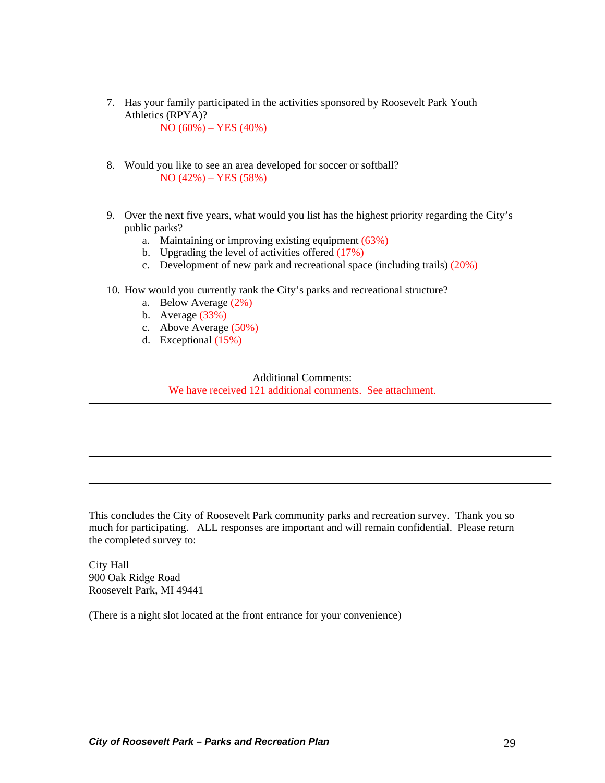- 7. Has your family participated in the activities sponsored by Roosevelt Park Youth Athletics (RPYA)? NO (60%) – YES (40%)
- 8. Would you like to see an area developed for soccer or softball? NO (42%) – YES (58%)
- 9. Over the next five years, what would you list has the highest priority regarding the City's public parks?
	- a. Maintaining or improving existing equipment (63%)
	- b. Upgrading the level of activities offered (17%)
	- c. Development of new park and recreational space (including trails) (20%)
- 10. How would you currently rank the City's parks and recreational structure?
	- a. Below Average (2%)
	- b. Average (33%)
	- c. Above Average (50%)
	- d. Exceptional (15%)

#### Additional Comments:

We have received 121 additional comments. See attachment.

This concludes the City of Roosevelt Park community parks and recreation survey. Thank you so much for participating. ALL responses are important and will remain confidential. Please return the completed survey to:

City Hall 900 Oak Ridge Road Roosevelt Park, MI 49441

(There is a night slot located at the front entrance for your convenience)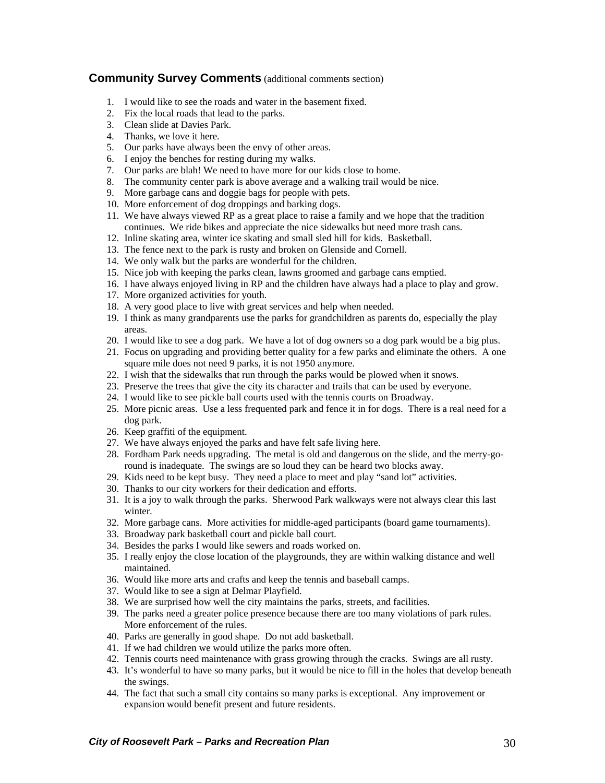#### <span id="page-29-0"></span>**Community Survey Comments** (additional comments section)

- 1. I would like to see the roads and water in the basement fixed.
- 2. Fix the local roads that lead to the parks.
- 3. Clean slide at Davies Park.
- 4. Thanks, we love it here.
- 5. Our parks have always been the envy of other areas.
- 6. I enjoy the benches for resting during my walks.
- 7. Our parks are blah! We need to have more for our kids close to home.
- 8. The community center park is above average and a walking trail would be nice.
- 9. More garbage cans and doggie bags for people with pets.
- 10. More enforcement of dog droppings and barking dogs.
- 11. We have always viewed RP as a great place to raise a family and we hope that the tradition continues. We ride bikes and appreciate the nice sidewalks but need more trash cans.
- 12. Inline skating area, winter ice skating and small sled hill for kids. Basketball.
- 13. The fence next to the park is rusty and broken on Glenside and Cornell.
- 14. We only walk but the parks are wonderful for the children.
- 15. Nice job with keeping the parks clean, lawns groomed and garbage cans emptied.
- 16. I have always enjoyed living in RP and the children have always had a place to play and grow.
- 17. More organized activities for youth.
- 18. A very good place to live with great services and help when needed.
- 19. I think as many grandparents use the parks for grandchildren as parents do, especially the play areas.
- 20. I would like to see a dog park. We have a lot of dog owners so a dog park would be a big plus.
- 21. Focus on upgrading and providing better quality for a few parks and eliminate the others. A one square mile does not need 9 parks, it is not 1950 anymore.
- 22. I wish that the sidewalks that run through the parks would be plowed when it snows.
- 23. Preserve the trees that give the city its character and trails that can be used by everyone.
- 24. I would like to see pickle ball courts used with the tennis courts on Broadway.
- 25. More picnic areas. Use a less frequented park and fence it in for dogs. There is a real need for a dog park.
- 26. Keep graffiti of the equipment.
- 27. We have always enjoyed the parks and have felt safe living here.
- 28. Fordham Park needs upgrading. The metal is old and dangerous on the slide, and the merry-goround is inadequate. The swings are so loud they can be heard two blocks away.
- 29. Kids need to be kept busy. They need a place to meet and play "sand lot" activities.
- 30. Thanks to our city workers for their dedication and efforts.
- 31. It is a joy to walk through the parks. Sherwood Park walkways were not always clear this last winter.
- 32. More garbage cans. More activities for middle-aged participants (board game tournaments).
- 33. Broadway park basketball court and pickle ball court.
- 34. Besides the parks I would like sewers and roads worked on.
- 35. I really enjoy the close location of the playgrounds, they are within walking distance and well maintained.
- 36. Would like more arts and crafts and keep the tennis and baseball camps.
- 37. Would like to see a sign at Delmar Playfield.
- 38. We are surprised how well the city maintains the parks, streets, and facilities.
- 39. The parks need a greater police presence because there are too many violations of park rules. More enforcement of the rules.
- 40. Parks are generally in good shape. Do not add basketball.
- 41. If we had children we would utilize the parks more often.
- 42. Tennis courts need maintenance with grass growing through the cracks. Swings are all rusty.
- 43. It's wonderful to have so many parks, but it would be nice to fill in the holes that develop beneath the swings.
- 44. The fact that such a small city contains so many parks is exceptional. Any improvement or expansion would benefit present and future residents.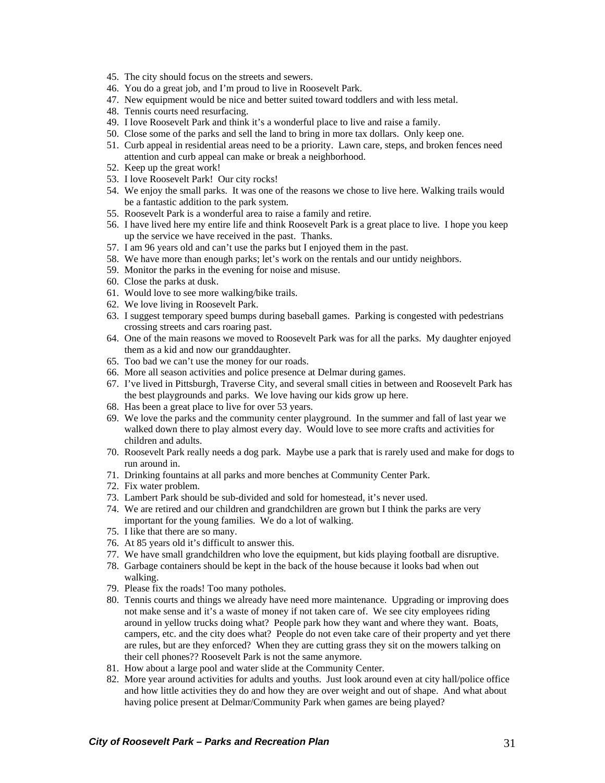- 45. The city should focus on the streets and sewers.
- 46. You do a great job, and I'm proud to live in Roosevelt Park.
- 47. New equipment would be nice and better suited toward toddlers and with less metal.
- 48. Tennis courts need resurfacing.
- 49. I love Roosevelt Park and think it's a wonderful place to live and raise a family.
- 50. Close some of the parks and sell the land to bring in more tax dollars. Only keep one.
- 51. Curb appeal in residential areas need to be a priority. Lawn care, steps, and broken fences need attention and curb appeal can make or break a neighborhood.
- 52. Keep up the great work!
- 53. I love Roosevelt Park! Our city rocks!
- 54. We enjoy the small parks. It was one of the reasons we chose to live here. Walking trails would be a fantastic addition to the park system.
- 55. Roosevelt Park is a wonderful area to raise a family and retire.
- 56. I have lived here my entire life and think Roosevelt Park is a great place to live. I hope you keep up the service we have received in the past. Thanks.
- 57. I am 96 years old and can't use the parks but I enjoyed them in the past.
- 58. We have more than enough parks; let's work on the rentals and our untidy neighbors.
- 59. Monitor the parks in the evening for noise and misuse.
- 60. Close the parks at dusk.
- 61. Would love to see more walking/bike trails.
- 62. We love living in Roosevelt Park.
- 63. I suggest temporary speed bumps during baseball games. Parking is congested with pedestrians crossing streets and cars roaring past.
- 64. One of the main reasons we moved to Roosevelt Park was for all the parks. My daughter enjoyed them as a kid and now our granddaughter.
- 65. Too bad we can't use the money for our roads.
- 66. More all season activities and police presence at Delmar during games.
- 67. I've lived in Pittsburgh, Traverse City, and several small cities in between and Roosevelt Park has the best playgrounds and parks. We love having our kids grow up here.
- 68. Has been a great place to live for over 53 years.
- 69. We love the parks and the community center playground. In the summer and fall of last year we walked down there to play almost every day. Would love to see more crafts and activities for children and adults.
- 70. Roosevelt Park really needs a dog park. Maybe use a park that is rarely used and make for dogs to run around in.
- 71. Drinking fountains at all parks and more benches at Community Center Park.
- 72. Fix water problem.
- 73. Lambert Park should be sub-divided and sold for homestead, it's never used.
- 74. We are retired and our children and grandchildren are grown but I think the parks are very important for the young families. We do a lot of walking.
- 75. I like that there are so many.
- 76. At 85 years old it's difficult to answer this.
- 77. We have small grandchildren who love the equipment, but kids playing football are disruptive.
- 78. Garbage containers should be kept in the back of the house because it looks bad when out walking.
- 79. Please fix the roads! Too many potholes.
- 80. Tennis courts and things we already have need more maintenance. Upgrading or improving does not make sense and it's a waste of money if not taken care of. We see city employees riding around in yellow trucks doing what? People park how they want and where they want. Boats, campers, etc. and the city does what? People do not even take care of their property and yet there are rules, but are they enforced? When they are cutting grass they sit on the mowers talking on their cell phones?? Roosevelt Park is not the same anymore.
- 81. How about a large pool and water slide at the Community Center.
- 82. More year around activities for adults and youths. Just look around even at city hall/police office and how little activities they do and how they are over weight and out of shape. And what about having police present at Delmar/Community Park when games are being played?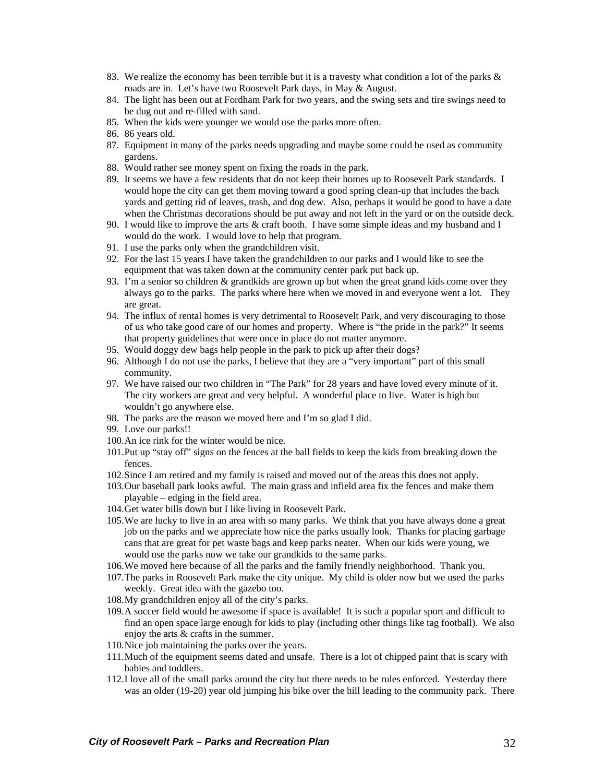- 83. We realize the economy has been terrible but it is a travesty what condition a lot of the parks & roads are in. Let's have two Roosevelt Park days, in May & August.
- 84. The light has been out at Fordham Park for two years, and the swing sets and tire swings need to be dug out and re-filled with sand.
- 85. When the kids were younger we would use the parks more often.
- 86. 86 years old.
- 87. Equipment in many of the parks needs upgrading and maybe some could be used as community gardens.
- 88. Would rather see money spent on fixing the roads in the park.
- 89. It seems we have a few residents that do not keep their homes up to Roosevelt Park standards. I would hope the city can get them moving toward a good spring clean-up that includes the back yards and getting rid of leaves, trash, and dog dew. Also, perhaps it would be good to have a date when the Christmas decorations should be put away and not left in the yard or on the outside deck.
- 90. I would like to improve the arts & craft booth. I have some simple ideas and my husband and I would do the work. I would love to help that program.
- 91. I use the parks only when the grandchildren visit.
- 92. For the last 15 years I have taken the grandchildren to our parks and I would like to see the equipment that was taken down at the community center park put back up.
- 93. I'm a senior so children & grandkids are grown up but when the great grand kids come over they always go to the parks. The parks where here when we moved in and everyone went a lot. They are great.
- 94. The influx of rental homes is very detrimental to Roosevelt Park, and very discouraging to those of us who take good care of our homes and property. Where is "the pride in the park?" It seems that property guidelines that were once in place do not matter anymore.
- 95. Would doggy dew bags help people in the park to pick up after their dogs?
- 96. Although I do not use the parks, I believe that they are a "very important" part of this small community.
- 97. We have raised our two children in "The Park" for 28 years and have loved every minute of it. The city workers are great and very helpful. A wonderful place to live. Water is high but wouldn't go anywhere else.
- 98. The parks are the reason we moved here and I'm so glad I did.
- 99. Love our parks!!
- 100.An ice rink for the winter would be nice.
- 101.Put up "stay off" signs on the fences at the ball fields to keep the kids from breaking down the fences.
- 102.Since I am retired and my family is raised and moved out of the areas this does not apply.
- 103.Our baseball park looks awful. The main grass and infield area fix the fences and make them playable – edging in the field area.
- 104.Get water bills down but I like living in Roosevelt Park.
- 105.We are lucky to live in an area with so many parks. We think that you have always done a great job on the parks and we appreciate how nice the parks usually look. Thanks for placing garbage cans that are great for pet waste bags and keep parks neater. When our kids were young, we would use the parks now we take our grandkids to the same parks.
- 106.We moved here because of all the parks and the family friendly neighborhood. Thank you.
- 107.The parks in Roosevelt Park make the city unique. My child is older now but we used the parks weekly. Great idea with the gazebo too.
- 108.My grandchildren enjoy all of the city's parks.
- 109.A soccer field would be awesome if space is available! It is such a popular sport and difficult to find an open space large enough for kids to play (including other things like tag football). We also enjoy the arts & crafts in the summer.
- 110.Nice job maintaining the parks over the years.
- 111.Much of the equipment seems dated and unsafe. There is a lot of chipped paint that is scary with babies and toddlers.
- 112.I love all of the small parks around the city but there needs to be rules enforced. Yesterday there was an older (19-20) year old jumping his bike over the hill leading to the community park. There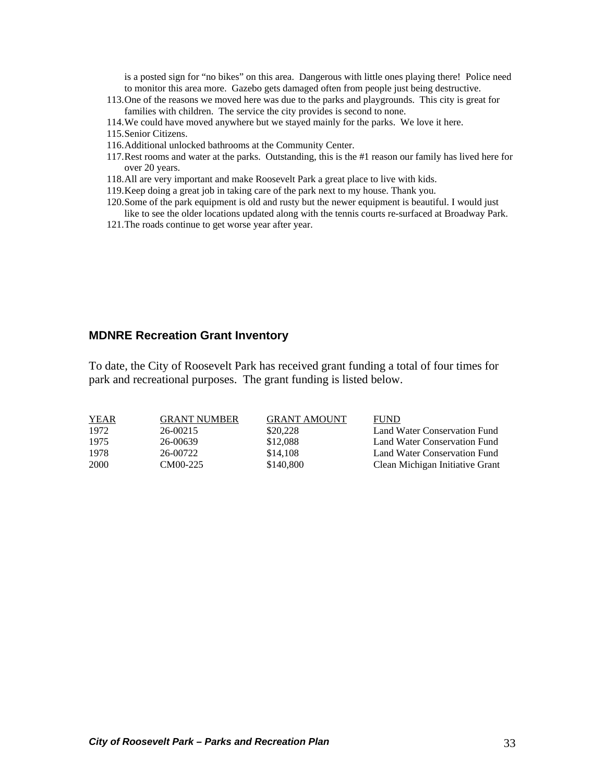<span id="page-32-0"></span>is a posted sign for "no bikes" on this area. Dangerous with little ones playing there! Police need to monitor this area more. Gazebo gets damaged often from people just being destructive.

- 113.One of the reasons we moved here was due to the parks and playgrounds. This city is great for families with children. The service the city provides is second to none.
- 114.We could have moved anywhere but we stayed mainly for the parks. We love it here.
- 115.Senior Citizens.
- 116.Additional unlocked bathrooms at the Community Center.
- 117.Rest rooms and water at the parks. Outstanding, this is the #1 reason our family has lived here for over 20 years.
- 118.All are very important and make Roosevelt Park a great place to live with kids.
- 119.Keep doing a great job in taking care of the park next to my house. Thank you.
- 120.Some of the park equipment is old and rusty but the newer equipment is beautiful. I would just like to see the older locations updated along with the tennis courts re-surfaced at Broadway Park.
- 121.The roads continue to get worse year after year.

#### **MDNRE Recreation Grant Inventory**

To date, the City of Roosevelt Park has received grant funding a total of four times for park and recreational purposes. The grant funding is listed below.

| <b>YEAR</b> | <b>GRANT NUMBER</b> | <b>GRANT AMOUNT</b> | <b>FUND</b>                     |
|-------------|---------------------|---------------------|---------------------------------|
| 1972        | 26-00215            | \$20,228            | Land Water Conservation Fund    |
| 1975        | 26-00639            | \$12,088            | Land Water Conservation Fund    |
| 1978        | 26-00722            | \$14,108            | Land Water Conservation Fund    |
| 2000        | CM00-225            | \$140,800           | Clean Michigan Initiative Grant |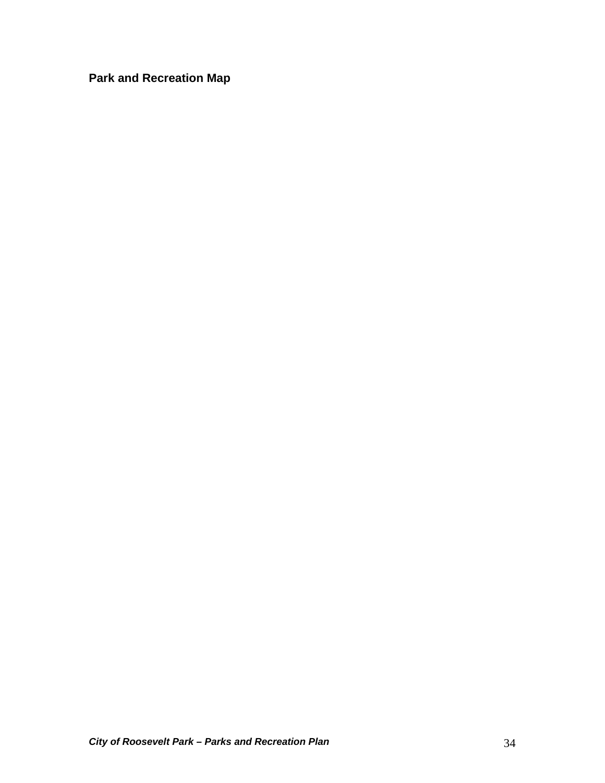<span id="page-33-0"></span>**Park and Recreation Map**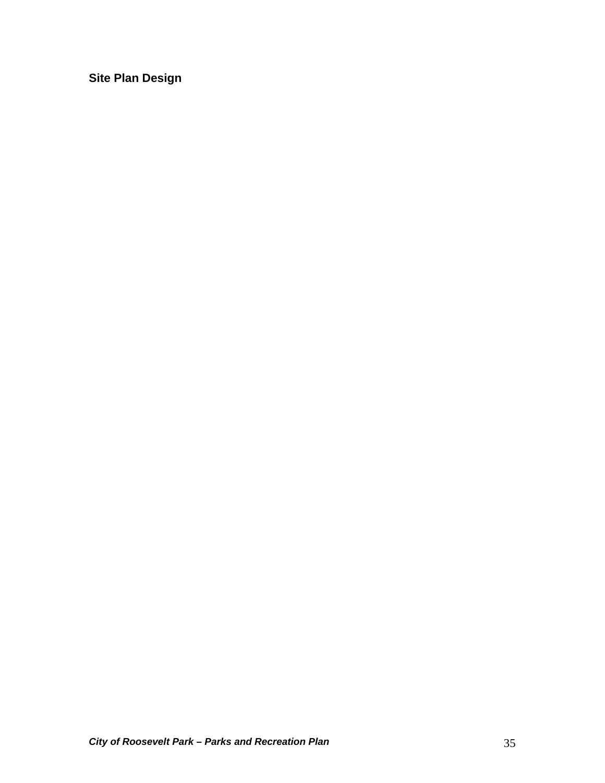<span id="page-34-0"></span>**Site Plan Design**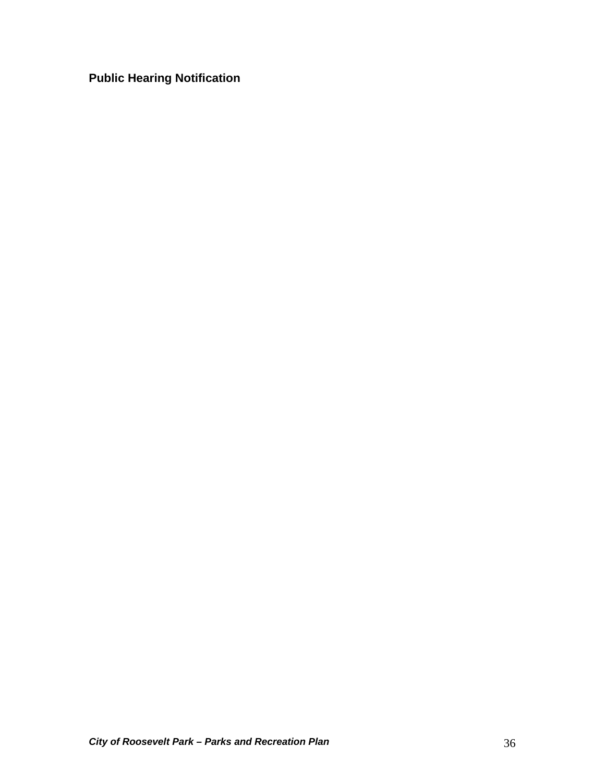<span id="page-35-0"></span>**Public Hearing Notification**